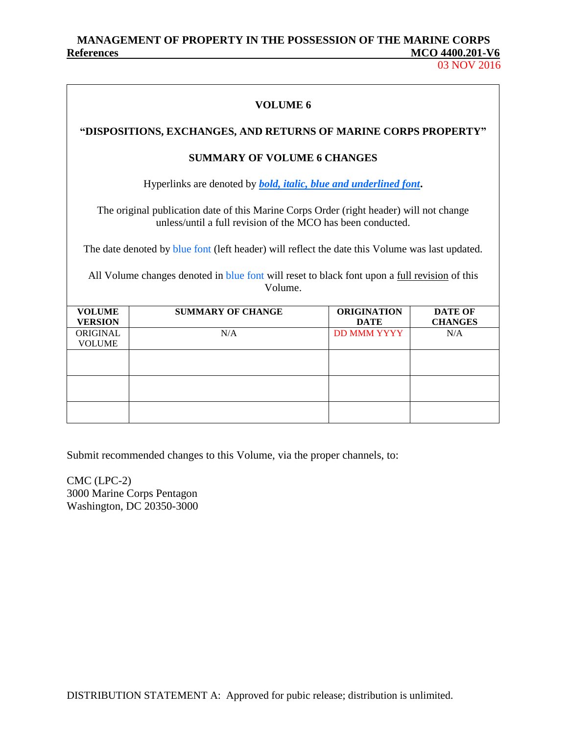# **MANAGEMENT OF PROPERTY IN THE POSSESSION OF THE MARINE CORPS References MCO 4400.201-V6**

03 NOV 2016

| VOLUME 6                                    |                                                                                                                                                                                                                    |                                   |                       |  |  |  |
|---------------------------------------------|--------------------------------------------------------------------------------------------------------------------------------------------------------------------------------------------------------------------|-----------------------------------|-----------------------|--|--|--|
|                                             | "DISPOSITIONS, EXCHANGES, AND RETURNS OF MARINE CORPS PROPERTY"                                                                                                                                                    |                                   |                       |  |  |  |
|                                             | <b>SUMMARY OF VOLUME 6 CHANGES</b>                                                                                                                                                                                 |                                   |                       |  |  |  |
|                                             | Hyperlinks are denoted by <b><i>bold, italic, blue and underlined font.</i></b>                                                                                                                                    |                                   |                       |  |  |  |
|                                             | The original publication date of this Marine Corps Order (right header) will not change<br>unless/until a full revision of the MCO has been conducted.                                                             |                                   |                       |  |  |  |
|                                             | The date denoted by blue font (left header) will reflect the date this Volume was last updated.<br>All Volume changes denoted in blue font will reset to black font upon a <u>full revision</u> of this<br>Volume. |                                   |                       |  |  |  |
| <b>VOLUME</b>                               | <b>SUMMARY OF CHANGE</b>                                                                                                                                                                                           | <b>ORIGINATION</b>                | <b>DATE OF</b>        |  |  |  |
| <b>VERSION</b><br>ORIGINAL<br><b>VOLUME</b> | N/A                                                                                                                                                                                                                | <b>DATE</b><br><b>DD MMM YYYY</b> | <b>CHANGES</b><br>N/A |  |  |  |
|                                             |                                                                                                                                                                                                                    |                                   |                       |  |  |  |
|                                             |                                                                                                                                                                                                                    |                                   |                       |  |  |  |
|                                             |                                                                                                                                                                                                                    |                                   |                       |  |  |  |

Submit recommended changes to this Volume, via the proper channels, to:

CMC (LPC-2) 3000 Marine Corps Pentagon Washington, DC 20350-3000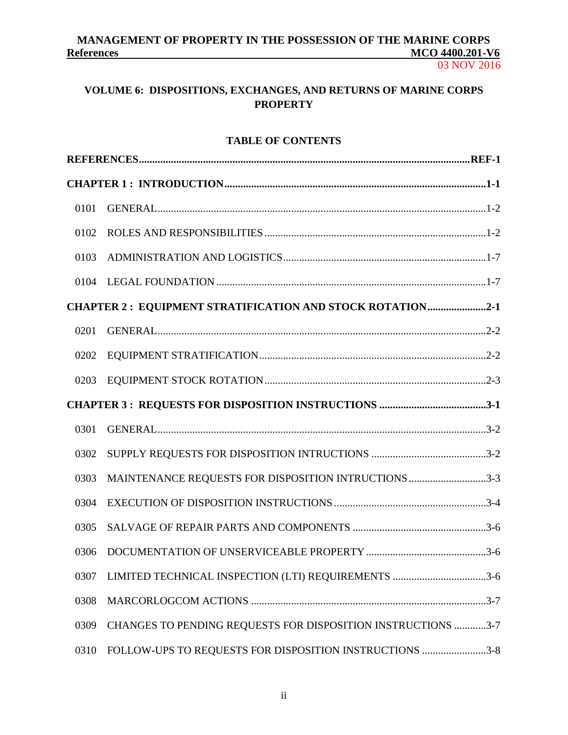# **MANAGEMENT OF PROPERTY IN THE POSSESSION OF THE MARINE CORPS References MCO 4400.201-V6**

03 NOV 2016

# **VOLUME 6: DISPOSITIONS, EXCHANGES, AND RETURNS OF MARINE CORPS PROPERTY**

# **TABLE OF CONTENTS**

| 0101 |                                                                  |
|------|------------------------------------------------------------------|
| 0102 |                                                                  |
| 0103 |                                                                  |
| 0104 |                                                                  |
|      | <b>CHAPTER 2: EQUIPMENT STRATIFICATION AND STOCK ROTATION2-1</b> |
| 0201 |                                                                  |
| 0202 |                                                                  |
| 0203 |                                                                  |
|      |                                                                  |
| 0301 |                                                                  |
| 0302 |                                                                  |
| 0303 | MAINTENANCE REQUESTS FOR DISPOSITION INTRUCTIONS 3-3             |
| 0304 |                                                                  |
| 0305 |                                                                  |
| 0306 |                                                                  |
| 0307 | LIMITED TECHNICAL INSPECTION (LTI) REQUIREMENTS 3-6              |
| 0308 |                                                                  |
| 0309 | CHANGES TO PENDING REQUESTS FOR DISPOSITION INSTRUCTIONS 3-7     |
| 0310 | FOLLOW-UPS TO REQUESTS FOR DISPOSITION INSTRUCTIONS 3-8          |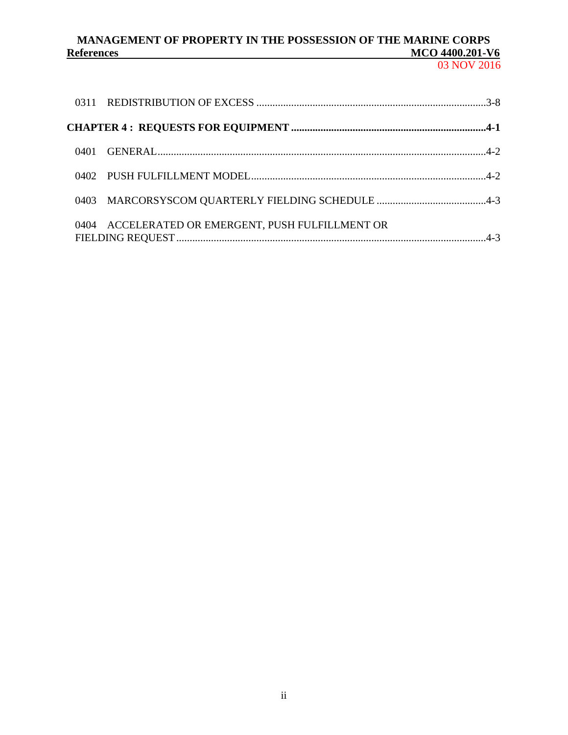# MANAGEMENT OF PROPERTY IN THE POSSESSION OF THE MARINE CORPS<br>MCO 4400.201-V6 **References**

03 NOV 2016

|                                                   | 0401 |
|---------------------------------------------------|------|
|                                                   |      |
|                                                   |      |
| 0404 ACCELERATED OR EMERGENT, PUSH FULFILLMENT OR |      |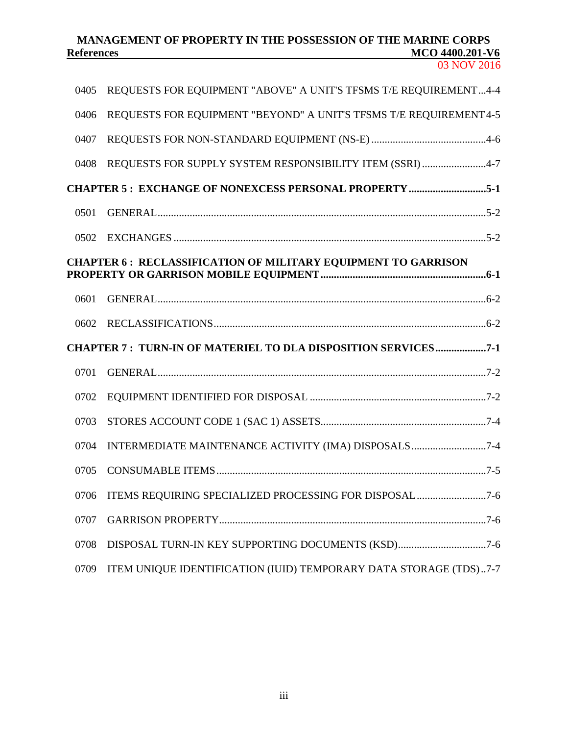# **MANAGEMENT OF PROPERTY IN THE POSSESSION OF THE MARINE CORPS References**

| 0405 | REQUESTS FOR EQUIPMENT "ABOVE" A UNIT'S TFSMS T/E REQUIREMENT4-4     |
|------|----------------------------------------------------------------------|
| 0406 | REQUESTS FOR EQUIPMENT "BEYOND" A UNIT'S TFSMS T/E REQUIREMENT4-5    |
| 0407 |                                                                      |
| 0408 | REQUESTS FOR SUPPLY SYSTEM RESPONSIBILITY ITEM (SSRI) 4-7            |
|      | <b>CHAPTER 5: EXCHANGE OF NONEXCESS PERSONAL PROPERTY 5-1</b>        |
| 0501 |                                                                      |
| 0502 |                                                                      |
|      | <b>CHAPTER 6: RECLASSIFICATION OF MILITARY EQUIPMENT TO GARRISON</b> |
| 0601 |                                                                      |
| 0602 |                                                                      |
|      | <b>CHAPTER 7: TURN-IN OF MATERIEL TO DLA DISPOSITION SERVICES7-1</b> |
| 0701 |                                                                      |
| 0702 |                                                                      |
| 0703 |                                                                      |
| 0704 | INTERMEDIATE MAINTENANCE ACTIVITY (IMA) DISPOSALS7-4                 |
| 0705 |                                                                      |
| 0706 |                                                                      |
| 0707 |                                                                      |
| 0708 | DISPOSAL TURN-IN KEY SUPPORTING DOCUMENTS (KSD)7-6                   |
| 0709 | ITEM UNIQUE IDENTIFICATION (IUID) TEMPORARY DATA STORAGE (TDS)7-7    |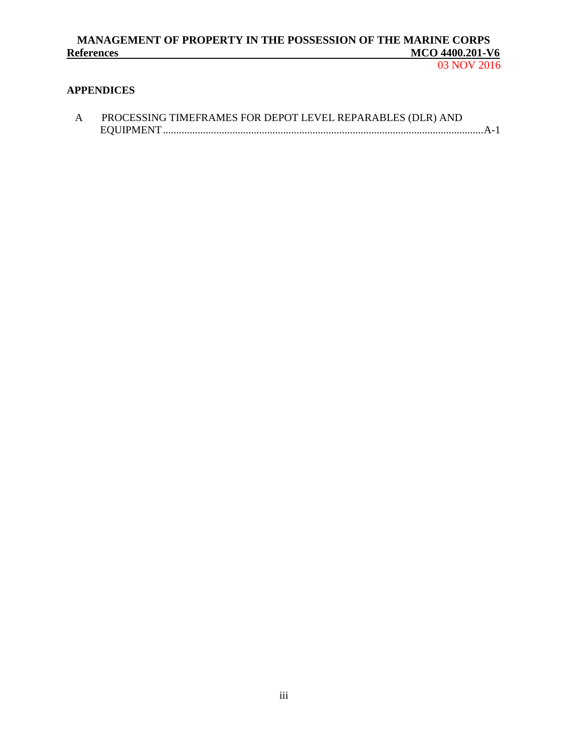# **MANAGEMENT OF PROPERTY IN THE POSSESSION OF THE MARINE CORPS REFERENCES** MCO 4400.201-V6

# **APPENDICES**

| PROCESSING TIMEFRAMES FOR DEPOT LEVEL REPARABLES (DLR) AND |
|------------------------------------------------------------|
|                                                            |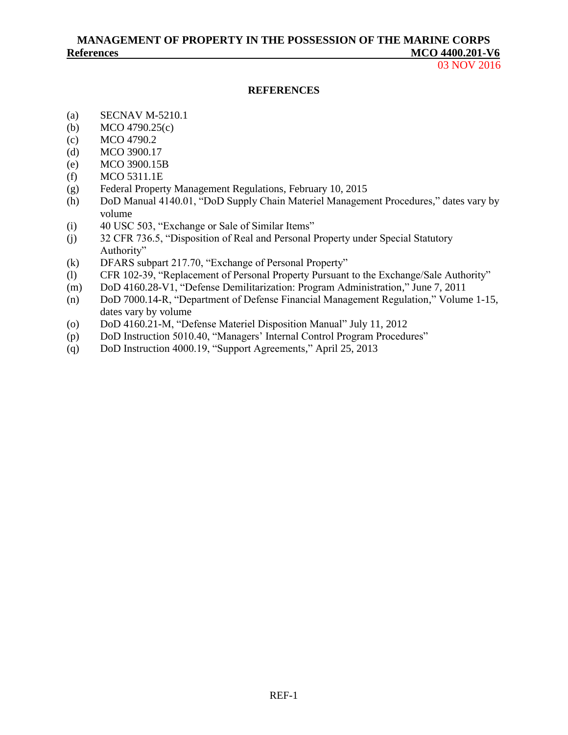# **MANAGEMENT OF PROPERTY IN THE POSSESSION OF THE MARINE CORPS References MCO 4400.201-V6**

03 NOV 2016

#### **REFERENCES**

- <span id="page-5-0"></span>(a) [SECNAV M-5210.1](http://doni.daps.dla.mil/SECNAV%20Manuals1/5210.1.pdf)
- <span id="page-5-2"></span><span id="page-5-1"></span>(b) [MCO 4790.25\(](http://www.marines.mil/News/Publications/ELECTRONICLIBRARY/ElectronicLibraryDisplay/tabid/13082/Article/157864/mco-479025.aspx)c)
- (c) [MCO 4790.2](http://www.marines.mil/News/Publications/ELECTRONICLIBRARY/ElectronicLibraryDisplay/tabid/13082/Article/175895/mco-47902.aspx)
- <span id="page-5-3"></span>(d) [MCO 3900.17](http://www.marines.mil/News/Publications/ELECTRONICLIBRARY/ElectronicLibraryDisplay/tabid/13082/Article/126795/mco-390017.aspx)
- <span id="page-5-4"></span>(e) [MCO 3900.15B](http://www.marines.mil/News/Publications/ELECTRONICLIBRARY/ElectronicLibraryDisplay/tabid/13082/Article/129004/mco-390015b.aspx)
- <span id="page-5-5"></span>(f) [MCO 5311.1E](http://www.marines.mil/News/Publications/ELECTRONICLIBRARY/ElectronicLibraryDisplay/tabid/13082/Article/175395/mco-53111e.aspx)
- <span id="page-5-6"></span>(g) [Federal Property Management Regulations,](http://www.gsa.gov/portal/category/102735) February 10, 2015
- <span id="page-5-7"></span>(h) DoD Manual [4140.01, "DoD Supply Chain Materiel Management Procedures,"](https://dap.dau.mil/career/log/blogs/archive/2014/02/12/new-multi-volume-dod-manual-414001-dod-supply-chain-materiel-management-procedures.aspx) dates vary by volume
- <span id="page-5-8"></span>(i) [40 USC 503, "Exchange or Sale of Similar Items"](https://www.gpo.gov/fdsys/granule/USCODE-2011-title40/USCODE-2011-title40-subtitleI-chap5-subchapI-sec503)
- <span id="page-5-9"></span>(j) [32 CFR 736.5, "Disposition of Real and Personal Property under Special Statutory](https://www.gpo.gov/fdsys/granule/CFR-2001-title32-vol5/CFR-2001-title32-vol5-sec736-5) [Authority"](https://www.gpo.gov/fdsys/granule/CFR-2001-title32-vol5/CFR-2001-title32-vol5-sec736-5)
- <span id="page-5-10"></span>(k) [DFARS subpart 217.70, "Exchange of Personal Property"](http://www.acq.osd.mil/dpap/dars/dfars/html/current/217_70.htm)
- <span id="page-5-11"></span>(l) [CFR 102-39, "Replacement of Personal Property Pursuant to the Exchange/Sale Authority"](http://www.gpo.gov/fdsys/granule/CFR-2010-title41-vol3/CFR-2010-title41-vol3-part102-id738/content-detail.html)
- <span id="page-5-12"></span>(m) [DoD 4160.28-V1, "Defense Demilitarization: Program Administration,"](http://www2.dla.mil/j-6/dlmso/elibrary/manuals/regulations.asp) June 7, 2011
- <span id="page-5-13"></span>(n) [DoD 7000.14-R, "Department of Defense Financial Management Regulation,"](http://comptroller.defense.gov/FMR.aspx) Volume 1-15, dates vary by volume
- <span id="page-5-14"></span>(o) [DoD 4160.21-M, "Defense Materiel Disposition Manual"](http://www2.dla.mil/j-6/dlmso/elibrary/manuals/regulations.asp) July 11, 2012
- <span id="page-5-15"></span>(p) DoD Instruction [5010.40, "Managers' Internal Control Program Procedures"](http://www.dtic.mil/whs/directives/corres/pdf/501040p.pdf)
- <span id="page-5-16"></span>(q) DoD Instruction 4000.19, "Support Agreements," April 25, 2013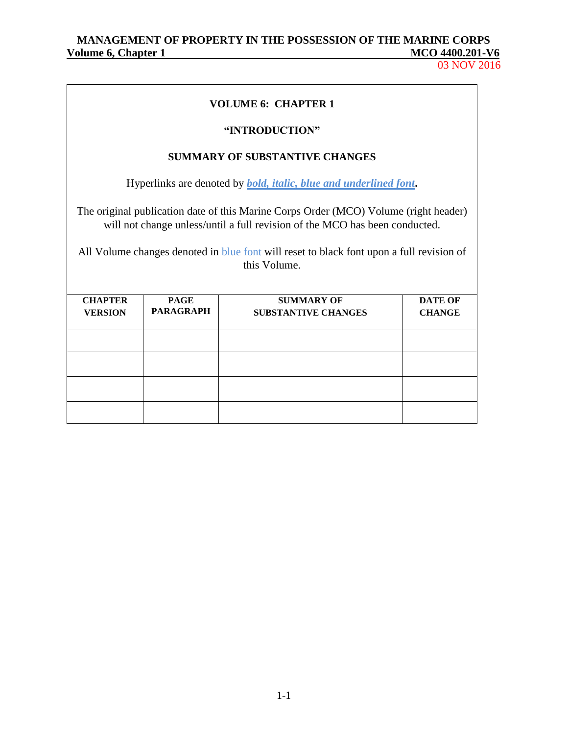03 NOV 2016

| <b>VOLUME 6: CHAPTER 1</b>                                                                               |                  |                                                                                                                                                                     |                |  |  |  |  |
|----------------------------------------------------------------------------------------------------------|------------------|---------------------------------------------------------------------------------------------------------------------------------------------------------------------|----------------|--|--|--|--|
|                                                                                                          |                  | "INTRODUCTION"                                                                                                                                                      |                |  |  |  |  |
|                                                                                                          |                  | <b>SUMMARY OF SUBSTANTIVE CHANGES</b>                                                                                                                               |                |  |  |  |  |
|                                                                                                          |                  | Hyperlinks are denoted by <i>bold, italic, blue and underlined font.</i>                                                                                            |                |  |  |  |  |
|                                                                                                          |                  | The original publication date of this Marine Corps Order (MCO) Volume (right header)<br>will not change unless/until a full revision of the MCO has been conducted. |                |  |  |  |  |
| All Volume changes denoted in blue font will reset to black font upon a full revision of<br>this Volume. |                  |                                                                                                                                                                     |                |  |  |  |  |
| <b>CHAPTER</b>                                                                                           | <b>PAGE</b>      | <b>SUMMARY OF</b>                                                                                                                                                   | <b>DATE OF</b> |  |  |  |  |
| <b>VERSION</b>                                                                                           | <b>PARAGRAPH</b> | <b>SUBSTANTIVE CHANGES</b>                                                                                                                                          | <b>CHANGE</b>  |  |  |  |  |
|                                                                                                          |                  |                                                                                                                                                                     |                |  |  |  |  |
|                                                                                                          |                  |                                                                                                                                                                     |                |  |  |  |  |
|                                                                                                          |                  |                                                                                                                                                                     |                |  |  |  |  |
|                                                                                                          |                  |                                                                                                                                                                     |                |  |  |  |  |

1-1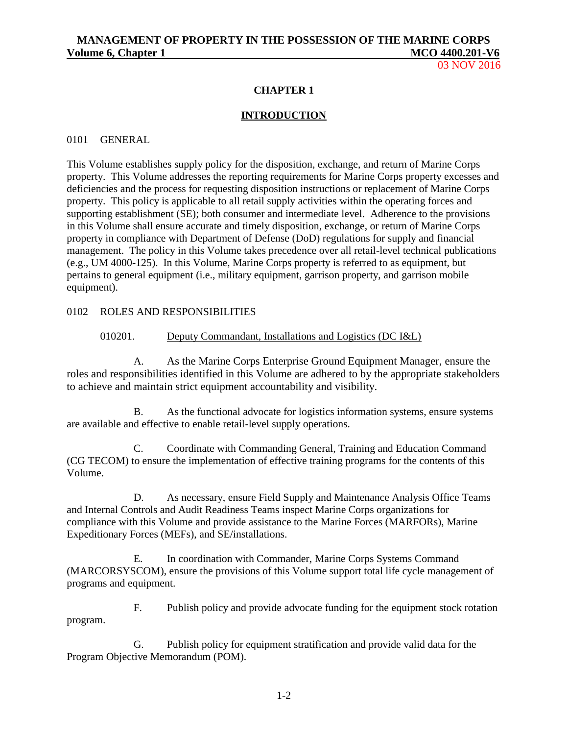03 NOV 2016

### **CHAPTER 1**

### **INTRODUCTION**

#### 0101 GENERAL

This Volume establishes supply policy for the disposition, exchange, and return of Marine Corps property. This Volume addresses the reporting requirements for Marine Corps property excesses and deficiencies and the process for requesting disposition instructions or replacement of Marine Corps property. This policy is applicable to all retail supply activities within the operating forces and supporting establishment (SE); both consumer and intermediate level. Adherence to the provisions in this Volume shall ensure accurate and timely disposition, exchange, or return of Marine Corps property in compliance with Department of Defense (DoD) regulations for supply and financial management. The policy in this Volume takes precedence over all retail-level technical publications (e.g., UM 4000-125). In this Volume, Marine Corps property is referred to as equipment, but pertains to general equipment (i.e., military equipment, garrison property, and garrison mobile equipment).

### 0102 ROLES AND RESPONSIBILITIES

#### 010201. Deputy Commandant, Installations and Logistics (DC I&L)

A. As the Marine Corps Enterprise Ground Equipment Manager, ensure the roles and responsibilities identified in this Volume are adhered to by the appropriate stakeholders to achieve and maintain strict equipment accountability and visibility.

B. As the functional advocate for logistics information systems, ensure systems are available and effective to enable retail-level supply operations.

C. Coordinate with Commanding General, Training and Education Command (CG TECOM) to ensure the implementation of effective training programs for the contents of this Volume.

D. As necessary, ensure Field Supply and Maintenance Analysis Office Teams and Internal Controls and Audit Readiness Teams inspect Marine Corps organizations for compliance with this Volume and provide assistance to the Marine Forces (MARFORs), Marine Expeditionary Forces (MEFs), and SE/installations.

E. In coordination with Commander, Marine Corps Systems Command (MARCORSYSCOM), ensure the provisions of this Volume support total life cycle management of programs and equipment.

F. Publish policy and provide advocate funding for the equipment stock rotation program.

G. Publish policy for equipment stratification and provide valid data for the Program Objective Memorandum (POM).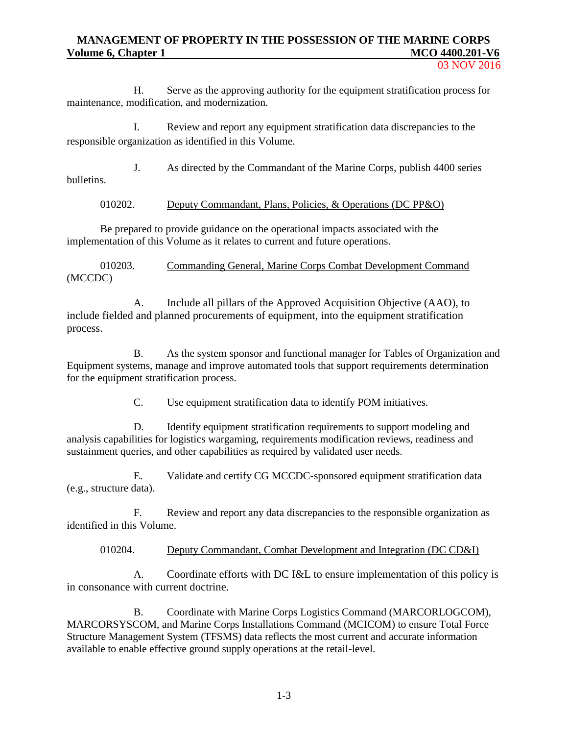03 NOV 2016

H. Serve as the approving authority for the equipment stratification process for maintenance, modification, and modernization.

I. Review and report any equipment stratification data discrepancies to the responsible organization as identified in this Volume.

J. As directed by the Commandant of the Marine Corps, publish 4400 series bulletins.

### 010202. Deputy Commandant, Plans, Policies, & Operations (DC PP&O)

Be prepared to provide guidance on the operational impacts associated with the implementation of this Volume as it relates to current and future operations.

010203. Commanding General, Marine Corps Combat Development Command (MCCDC)

A. Include all pillars of the Approved Acquisition Objective (AAO), to include fielded and planned procurements of equipment, into the equipment stratification process.

B. As the system sponsor and functional manager for Tables of Organization and Equipment systems, manage and improve automated tools that support requirements determination for the equipment stratification process.

C. Use equipment stratification data to identify POM initiatives.

D. Identify equipment stratification requirements to support modeling and analysis capabilities for logistics wargaming, requirements modification reviews, readiness and sustainment queries, and other capabilities as required by validated user needs.

E. Validate and certify CG MCCDC-sponsored equipment stratification data (e.g., structure data).

F. Review and report any data discrepancies to the responsible organization as identified in this Volume.

010204. Deputy Commandant, Combat Development and Integration (DC CD&I)

A. Coordinate efforts with DC I&L to ensure implementation of this policy is in consonance with current doctrine.

B. Coordinate with Marine Corps Logistics Command (MARCORLOGCOM), MARCORSYSCOM, and Marine Corps Installations Command (MCICOM) to ensure Total Force Structure Management System (TFSMS) data reflects the most current and accurate information available to enable effective ground supply operations at the retail-level.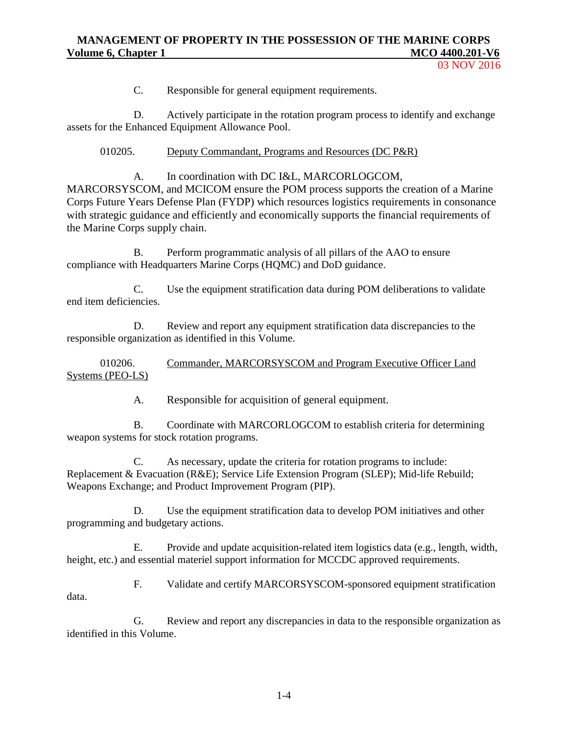03 NOV 2016

C. Responsible for general equipment requirements.

D. Actively participate in the rotation program process to identify and exchange assets for the Enhanced Equipment Allowance Pool.

010205. Deputy Commandant, Programs and Resources (DC P&R)

A. In coordination with DC I&L, MARCORLOGCOM, MARCORSYSCOM, and MCICOM ensure the POM process supports the creation of a Marine Corps Future Years Defense Plan (FYDP) which resources logistics requirements in consonance with strategic guidance and efficiently and economically supports the financial requirements of the Marine Corps supply chain.

B. Perform programmatic analysis of all pillars of the AAO to ensure compliance with Headquarters Marine Corps (HQMC) and DoD guidance.

C. Use the equipment stratification data during POM deliberations to validate end item deficiencies.

D. Review and report any equipment stratification data discrepancies to the responsible organization as identified in this Volume.

010206. Commander, MARCORSYSCOM and Program Executive Officer Land Systems (PEO-LS)

A. Responsible for acquisition of general equipment.

B. Coordinate with MARCORLOGCOM to establish criteria for determining weapon systems for stock rotation programs.

C. As necessary, update the criteria for rotation programs to include: Replacement & Evacuation (R&E); Service Life Extension Program (SLEP); Mid-life Rebuild; Weapons Exchange; and Product Improvement Program (PIP).

D. Use the equipment stratification data to develop POM initiatives and other programming and budgetary actions.

E. Provide and update acquisition-related item logistics data (e.g., length, width, height, etc.) and essential materiel support information for MCCDC approved requirements.

F. Validate and certify MARCORSYSCOM-sponsored equipment stratification data.

G. Review and report any discrepancies in data to the responsible organization as identified in this Volume.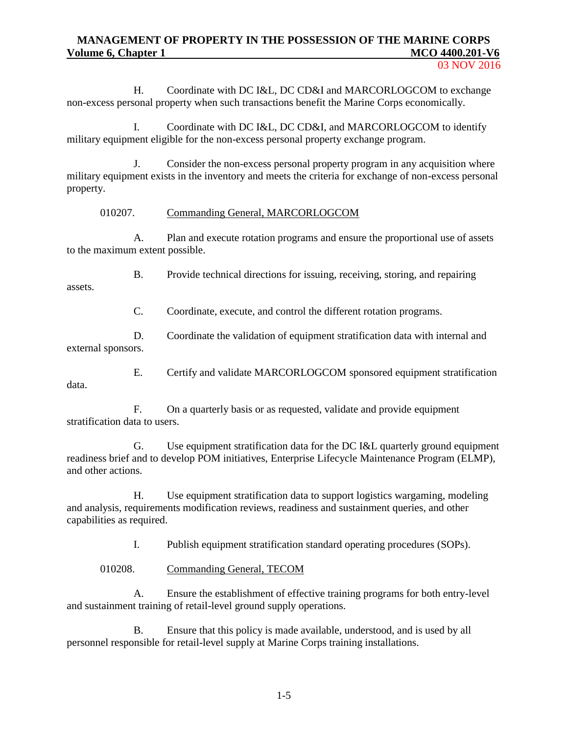H. Coordinate with DC I&L, DC CD&I and MARCORLOGCOM to exchange non-excess personal property when such transactions benefit the Marine Corps economically.

I. Coordinate with DC I&L, DC CD&I, and MARCORLOGCOM to identify military equipment eligible for the non-excess personal property exchange program.

J. Consider the non-excess personal property program in any acquisition where military equipment exists in the inventory and meets the criteria for exchange of non-excess personal property.

### 010207. Commanding General, MARCORLOGCOM

A. Plan and execute rotation programs and ensure the proportional use of assets to the maximum extent possible.

B. Provide technical directions for issuing, receiving, storing, and repairing assets.

C. Coordinate, execute, and control the different rotation programs.

D. Coordinate the validation of equipment stratification data with internal and external sponsors.

E. Certify and validate MARCORLOGCOM sponsored equipment stratification

F. On a quarterly basis or as requested, validate and provide equipment stratification data to users.

G. Use equipment stratification data for the DC I&L quarterly ground equipment readiness brief and to develop POM initiatives, Enterprise Lifecycle Maintenance Program (ELMP), and other actions.

H. Use equipment stratification data to support logistics wargaming, modeling and analysis, requirements modification reviews, readiness and sustainment queries, and other capabilities as required.

I. Publish equipment stratification standard operating procedures (SOPs).

010208. Commanding General, TECOM

data.

A. Ensure the establishment of effective training programs for both entry-level and sustainment training of retail-level ground supply operations.

B. Ensure that this policy is made available, understood, and is used by all personnel responsible for retail-level supply at Marine Corps training installations.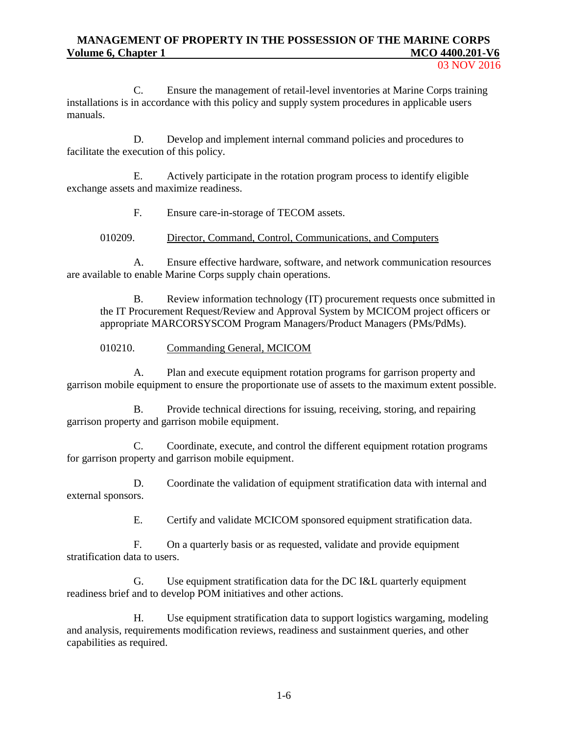C. Ensure the management of retail-level inventories at Marine Corps training installations is in accordance with this policy and supply system procedures in applicable users manuals.

D. Develop and implement internal command policies and procedures to facilitate the execution of this policy.

E. Actively participate in the rotation program process to identify eligible exchange assets and maximize readiness.

F. Ensure care-in-storage of TECOM assets.

010209. Director, Command, Control, Communications, and Computers

A. Ensure effective hardware, software, and network communication resources are available to enable Marine Corps supply chain operations.

B. Review information technology (IT) procurement requests once submitted in the IT Procurement Request/Review and Approval System by MCICOM project officers or appropriate MARCORSYSCOM Program Managers/Product Managers (PMs/PdMs).

010210. Commanding General, MCICOM

A. Plan and execute equipment rotation programs for garrison property and garrison mobile equipment to ensure the proportionate use of assets to the maximum extent possible.

B. Provide technical directions for issuing, receiving, storing, and repairing garrison property and garrison mobile equipment.

C. Coordinate, execute, and control the different equipment rotation programs for garrison property and garrison mobile equipment.

D. Coordinate the validation of equipment stratification data with internal and external sponsors.

E. Certify and validate MCICOM sponsored equipment stratification data.

F. On a quarterly basis or as requested, validate and provide equipment stratification data to users.

G. Use equipment stratification data for the DC I&L quarterly equipment readiness brief and to develop POM initiatives and other actions.

H. Use equipment stratification data to support logistics wargaming, modeling and analysis, requirements modification reviews, readiness and sustainment queries, and other capabilities as required.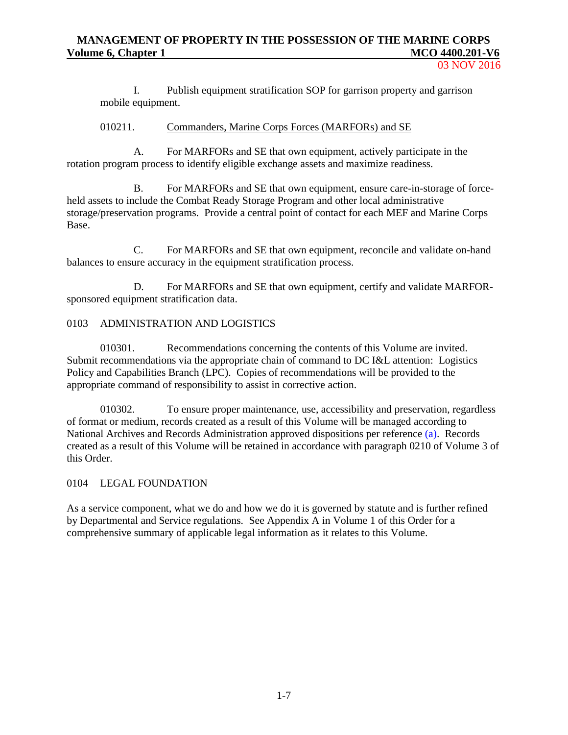03 NOV 2016

I. Publish equipment stratification SOP for garrison property and garrison mobile equipment.

### 010211. Commanders, Marine Corps Forces (MARFORs) and SE

A. For MARFORs and SE that own equipment, actively participate in the rotation program process to identify eligible exchange assets and maximize readiness.

B. For MARFORs and SE that own equipment, ensure care-in-storage of forceheld assets to include the Combat Ready Storage Program and other local administrative storage/preservation programs. Provide a central point of contact for each MEF and Marine Corps Base.

C. For MARFORs and SE that own equipment, reconcile and validate on-hand balances to ensure accuracy in the equipment stratification process.

D. For MARFORs and SE that own equipment, certify and validate MARFORsponsored equipment stratification data.

### 0103 ADMINISTRATION AND LOGISTICS

010301. Recommendations concerning the contents of this Volume are invited. Submit recommendations via the appropriate chain of command to DC I&L attention: Logistics Policy and Capabilities Branch (LPC). Copies of recommendations will be provided to the appropriate command of responsibility to assist in corrective action.

010302. To ensure proper maintenance, use, accessibility and preservation, regardless of format or medium, records created as a result of this Volume will be managed according to National Archives and Records Administration approved dispositions per reference [\(a\).](#page-5-0) Records created as a result of this Volume will be retained in accordance with paragraph 0210 of Volume 3 of this Order.

### 0104 LEGAL FOUNDATION

As a service component, what we do and how we do it is governed by statute and is further refined by Departmental and Service regulations. See Appendix A in Volume 1 of this Order for a comprehensive summary of applicable legal information as it relates to this Volume.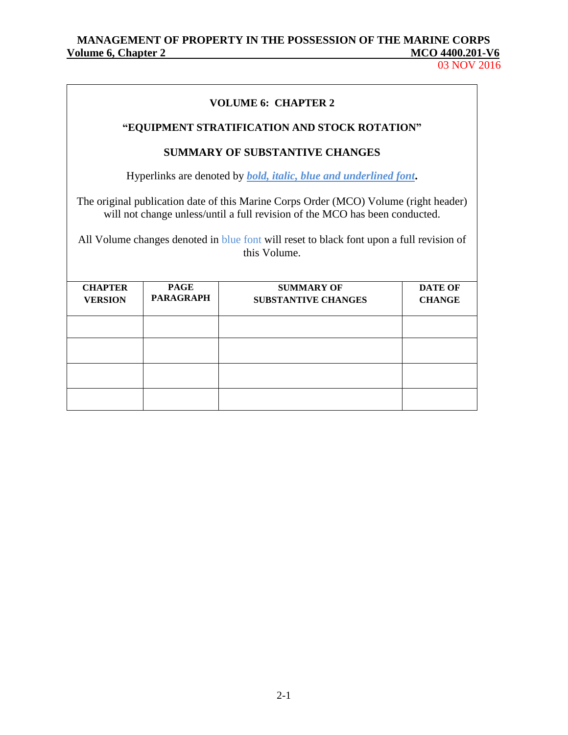# MANAGEMENT OF PROPERTY IN THE POSSESSION OF THE MARINE CORPS<br>olume 6, Chapter 2 MCO 4400.201-V6 **Volume 6, Chapter 2** McConstantial Age of  $\alpha$

03 NOV 2016

| <b>VOLUME 6: CHAPTER 2</b>                                                                                                                                                                                                                                                      |  |                                                                                 |  |  |
|---------------------------------------------------------------------------------------------------------------------------------------------------------------------------------------------------------------------------------------------------------------------------------|--|---------------------------------------------------------------------------------|--|--|
|                                                                                                                                                                                                                                                                                 |  | "EQUIPMENT STRATIFICATION AND STOCK ROTATION"                                   |  |  |
|                                                                                                                                                                                                                                                                                 |  | <b>SUMMARY OF SUBSTANTIVE CHANGES</b>                                           |  |  |
|                                                                                                                                                                                                                                                                                 |  | Hyperlinks are denoted by <b><i>bold, italic, blue and underlined font.</i></b> |  |  |
| The original publication date of this Marine Corps Order (MCO) Volume (right header)<br>will not change unless/until a full revision of the MCO has been conducted.<br>All Volume changes denoted in blue font will reset to black font upon a full revision of<br>this Volume. |  |                                                                                 |  |  |
| <b>CHAPTER</b><br><b>PAGE</b><br><b>SUMMARY OF</b><br><b>DATE OF</b><br><b>PARAGRAPH</b><br><b>VERSION</b><br><b>SUBSTANTIVE CHANGES</b><br><b>CHANGE</b>                                                                                                                       |  |                                                                                 |  |  |
|                                                                                                                                                                                                                                                                                 |  |                                                                                 |  |  |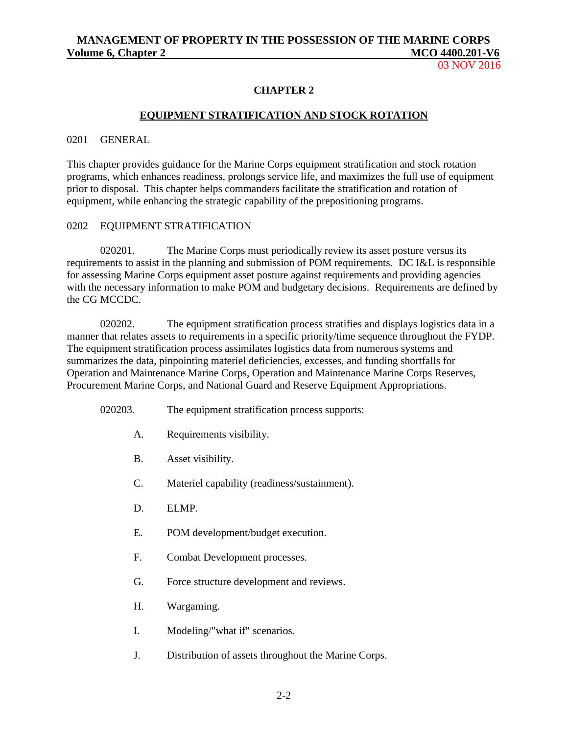03 NOV 2016

### **CHAPTER 2**

### **EQUIPMENT STRATIFICATION AND STOCK ROTATION**

#### 0201 GENERAL

This chapter provides guidance for the Marine Corps equipment stratification and stock rotation programs, which enhances readiness, prolongs service life, and maximizes the full use of equipment prior to disposal. This chapter helps commanders facilitate the stratification and rotation of equipment, while enhancing the strategic capability of the prepositioning programs.

#### 0202 EQUIPMENT STRATIFICATION

020201. The Marine Corps must periodically review its asset posture versus its requirements to assist in the planning and submission of POM requirements. DC I&L is responsible for assessing Marine Corps equipment asset posture against requirements and providing agencies with the necessary information to make POM and budgetary decisions. Requirements are defined by the CG MCCDC.

020202. The equipment stratification process stratifies and displays logistics data in a manner that relates assets to requirements in a specific priority/time sequence throughout the FYDP. The equipment stratification process assimilates logistics data from numerous systems and summarizes the data, pinpointing materiel deficiencies, excesses, and funding shortfalls for Operation and Maintenance Marine Corps, Operation and Maintenance Marine Corps Reserves, Procurement Marine Corps, and National Guard and Reserve Equipment Appropriations.

- 020203. The equipment stratification process supports:
	- A. Requirements visibility.
	- B. Asset visibility.
	- C. Materiel capability (readiness/sustainment).
	- D. ELMP.
	- E. POM development/budget execution.
	- F. Combat Development processes.
	- G. Force structure development and reviews.
	- H. Wargaming.
	- I. Modeling/"what if" scenarios.
	- J. Distribution of assets throughout the Marine Corps.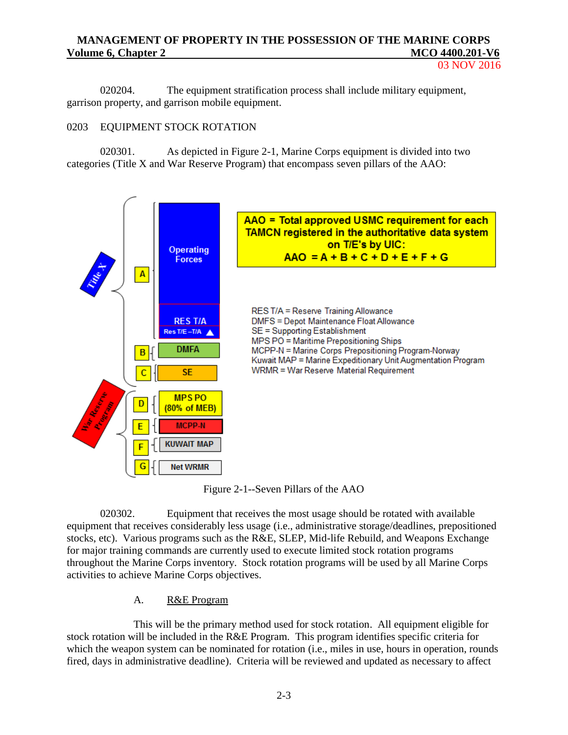03 NOV 2016

020204. The equipment stratification process shall include military equipment, garrison property, and garrison mobile equipment.

# 0203 EQUIPMENT STOCK ROTATION

020301. As depicted in Figure 2-1, Marine Corps equipment is divided into two categories (Title X and War Reserve Program) that encompass seven pillars of the AAO:



Figure 2-1--Seven Pillars of the AAO

020302. Equipment that receives the most usage should be rotated with available equipment that receives considerably less usage (i.e., administrative storage/deadlines, prepositioned stocks, etc). Various programs such as the R&E, SLEP, Mid-life Rebuild, and Weapons Exchange for major training commands are currently used to execute limited stock rotation programs throughout the Marine Corps inventory. Stock rotation programs will be used by all Marine Corps activities to achieve Marine Corps objectives.

# A. R&E Program

This will be the primary method used for stock rotation. All equipment eligible for stock rotation will be included in the R&E Program. This program identifies specific criteria for which the weapon system can be nominated for rotation (i.e., miles in use, hours in operation, rounds fired, days in administrative deadline). Criteria will be reviewed and updated as necessary to affect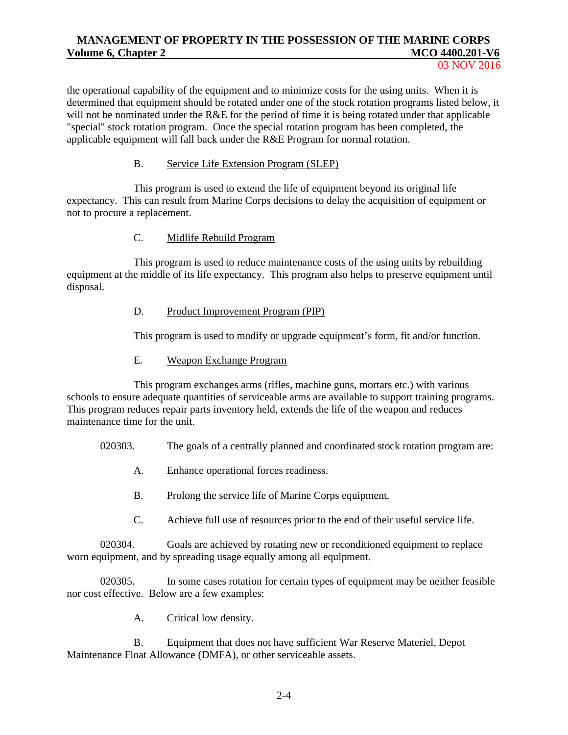the operational capability of the equipment and to minimize costs for the using units. When it is determined that equipment should be rotated under one of the stock rotation programs listed below, it will not be nominated under the R&E for the period of time it is being rotated under that applicable "special" stock rotation program. Once the special rotation program has been completed, the applicable equipment will fall back under the R&E Program for normal rotation.

### B. Service Life Extension Program (SLEP)

This program is used to extend the life of equipment beyond its original life expectancy. This can result from Marine Corps decisions to delay the acquisition of equipment or not to procure a replacement.

# C. Midlife Rebuild Program

This program is used to reduce maintenance costs of the using units by rebuilding equipment at the middle of its life expectancy. This program also helps to preserve equipment until disposal.

### D. Product Improvement Program (PIP)

This program is used to modify or upgrade equipment's form, fit and/or function.

# E. Weapon Exchange Program

This program exchanges arms (rifles, machine guns, mortars etc.) with various schools to ensure adequate quantities of serviceable arms are available to support training programs. This program reduces repair parts inventory held, extends the life of the weapon and reduces maintenance time for the unit.

020303. The goals of a centrally planned and coordinated stock rotation program are:

- A. Enhance operational forces readiness.
- B. Prolong the service life of Marine Corps equipment.
- C. Achieve full use of resources prior to the end of their useful service life.

020304. Goals are achieved by rotating new or reconditioned equipment to replace worn equipment, and by spreading usage equally among all equipment.

020305. In some cases rotation for certain types of equipment may be neither feasible nor cost effective. Below are a few examples:

A. Critical low density.

B. Equipment that does not have sufficient War Reserve Materiel, Depot Maintenance Float Allowance (DMFA), or other serviceable assets.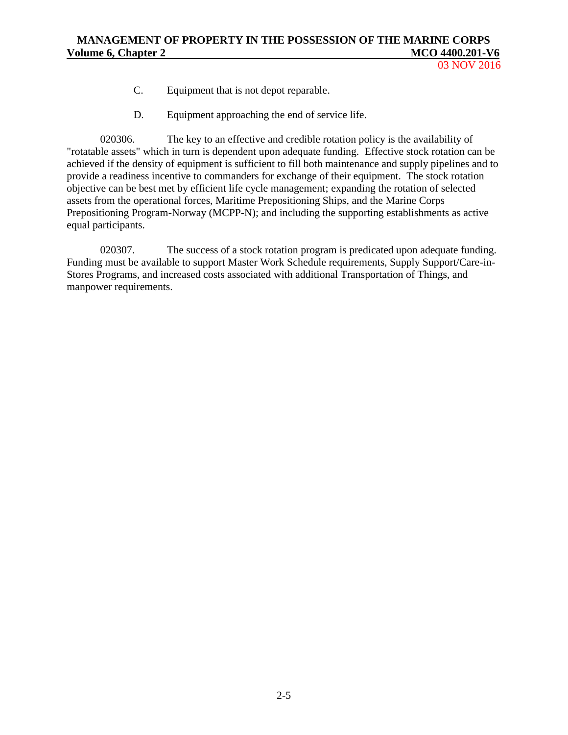03 NOV 2016

- C. Equipment that is not depot reparable.
- D. Equipment approaching the end of service life.

020306. The key to an effective and credible rotation policy is the availability of "rotatable assets" which in turn is dependent upon adequate funding. Effective stock rotation can be achieved if the density of equipment is sufficient to fill both maintenance and supply pipelines and to provide a readiness incentive to commanders for exchange of their equipment. The stock rotation objective can be best met by efficient life cycle management; expanding the rotation of selected assets from the operational forces, Maritime Prepositioning Ships, and the Marine Corps Prepositioning Program-Norway (MCPP-N); and including the supporting establishments as active equal participants.

020307. The success of a stock rotation program is predicated upon adequate funding. Funding must be available to support Master Work Schedule requirements, Supply Support/Care-in-Stores Programs, and increased costs associated with additional Transportation of Things, and manpower requirements.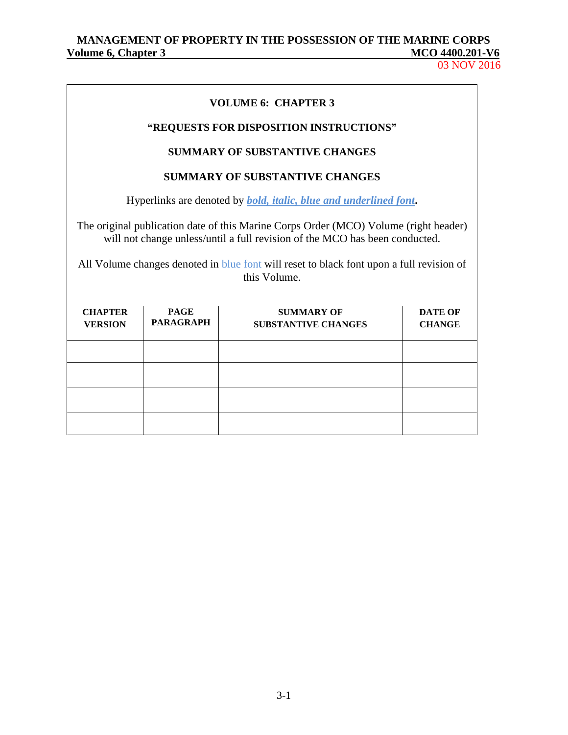03 NOV 2016

| <b>Chapter 3</b> |  |  |
|------------------|--|--|
|                  |  |  |

# **VOLUME 6: CHAPTER 3**

# **"REQUESTS FOR DISPOSITION INSTRUCTIONS"**

### **SUMMARY OF SUBSTANTIVE CHANGES**

### **SUMMARY OF SUBSTANTIVE CHANGES**

Hyperlinks are denoted by *bold, italic, blue and underlined font***.**

The original publication date of this Marine Corps Order (MCO) Volume (right header) will not change unless/until a full revision of the MCO has been conducted.

All Volume changes denoted in blue font will reset to black font upon a full revision of this Volume.

| <b>CHAPTER</b><br><b>VERSION</b> | <b>PAGE</b><br><b>PARAGRAPH</b> | <b>SUMMARY OF</b><br><b>SUBSTANTIVE CHANGES</b> | <b>DATE OF</b><br><b>CHANGE</b> |
|----------------------------------|---------------------------------|-------------------------------------------------|---------------------------------|
|                                  |                                 |                                                 |                                 |
|                                  |                                 |                                                 |                                 |
|                                  |                                 |                                                 |                                 |
|                                  |                                 |                                                 |                                 |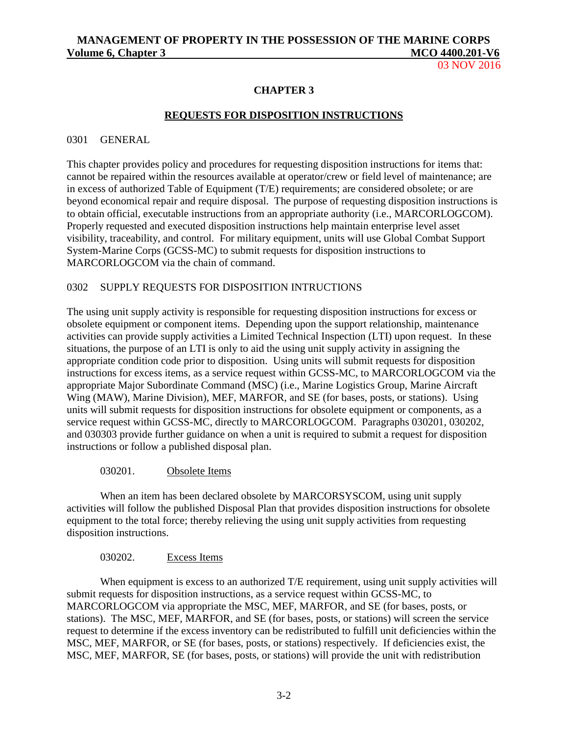03 NOV 2016

### **CHAPTER 3**

### **REQUESTS FOR DISPOSITION INSTRUCTIONS**

#### 0301 GENERAL

This chapter provides policy and procedures for requesting disposition instructions for items that: cannot be repaired within the resources available at operator/crew or field level of maintenance; are in excess of authorized Table of Equipment (T/E) requirements; are considered obsolete; or are beyond economical repair and require disposal. The purpose of requesting disposition instructions is to obtain official, executable instructions from an appropriate authority (i.e., MARCORLOGCOM). Properly requested and executed disposition instructions help maintain enterprise level asset visibility, traceability, and control. For military equipment, units will use Global Combat Support System-Marine Corps (GCSS-MC) to submit requests for disposition instructions to MARCORLOGCOM via the chain of command.

### 0302 SUPPLY REQUESTS FOR DISPOSITION INTRUCTIONS

The using unit supply activity is responsible for requesting disposition instructions for excess or obsolete equipment or component items. Depending upon the support relationship, maintenance activities can provide supply activities a Limited Technical Inspection (LTI) upon request. In these situations, the purpose of an LTI is only to aid the using unit supply activity in assigning the appropriate condition code prior to disposition. Using units will submit requests for disposition instructions for excess items, as a service request within GCSS-MC, to MARCORLOGCOM via the appropriate Major Subordinate Command (MSC) (i.e., Marine Logistics Group, Marine Aircraft Wing (MAW), Marine Division), MEF, MARFOR, and SE (for bases, posts, or stations). Using units will submit requests for disposition instructions for obsolete equipment or components, as a service request within GCSS-MC, directly to MARCORLOGCOM. Paragraphs 030201, 030202, and 030303 provide further guidance on when a unit is required to submit a request for disposition instructions or follow a published disposal plan.

#### 030201. Obsolete Items

When an item has been declared obsolete by MARCORSYSCOM, using unit supply activities will follow the published Disposal Plan that provides disposition instructions for obsolete equipment to the total force; thereby relieving the using unit supply activities from requesting disposition instructions.

### 030202. Excess Items

When equipment is excess to an authorized T/E requirement, using unit supply activities will submit requests for disposition instructions, as a service request within GCSS-MC, to MARCORLOGCOM via appropriate the MSC, MEF, MARFOR, and SE (for bases, posts, or stations). The MSC, MEF, MARFOR, and SE (for bases, posts, or stations) will screen the service request to determine if the excess inventory can be redistributed to fulfill unit deficiencies within the MSC, MEF, MARFOR, or SE (for bases, posts, or stations) respectively. If deficiencies exist, the MSC, MEF, MARFOR, SE (for bases, posts, or stations) will provide the unit with redistribution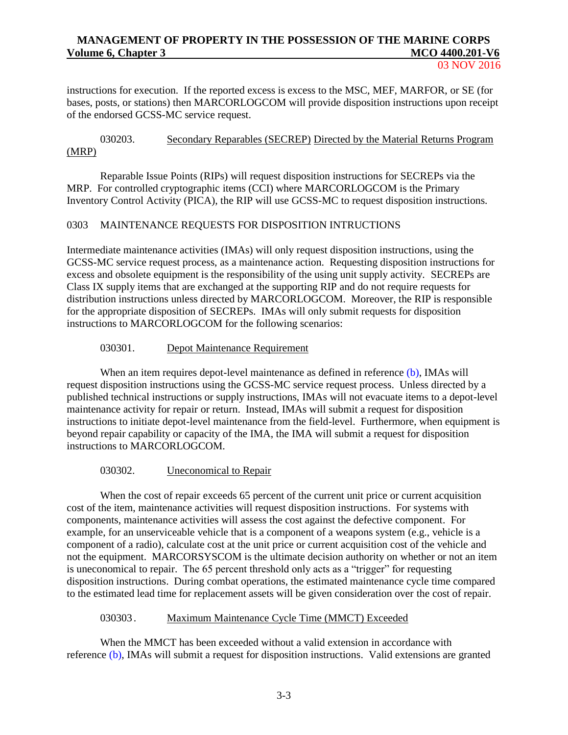03 NOV 2016

instructions for execution. If the reported excess is excess to the MSC, MEF, MARFOR, or SE (for bases, posts, or stations) then MARCORLOGCOM will provide disposition instructions upon receipt of the endorsed GCSS-MC service request.

### 030203. Secondary Reparables (SECREP) Directed by the Material Returns Program (MRP)

Reparable Issue Points (RIPs) will request disposition instructions for SECREPs via the MRP. For controlled cryptographic items (CCI) where MARCORLOGCOM is the Primary Inventory Control Activity (PICA), the RIP will use GCSS-MC to request disposition instructions.

### 0303 MAINTENANCE REQUESTS FOR DISPOSITION INTRUCTIONS

Intermediate maintenance activities (IMAs) will only request disposition instructions, using the GCSS-MC service request process, as a maintenance action. Requesting disposition instructions for excess and obsolete equipment is the responsibility of the using unit supply activity. SECREPs are Class IX supply items that are exchanged at the supporting RIP and do not require requests for distribution instructions unless directed by MARCORLOGCOM. Moreover, the RIP is responsible for the appropriate disposition of SECREPs. IMAs will only submit requests for disposition instructions to MARCORLOGCOM for the following scenarios:

### 030301. Depot Maintenance Requirement

When an item requires depot-level maintenance as defined in reference [\(b\),](#page-5-1) IMAs will request disposition instructions using the GCSS-MC service request process. Unless directed by a published technical instructions or supply instructions, IMAs will not evacuate items to a depot-level maintenance activity for repair or return. Instead, IMAs will submit a request for disposition instructions to initiate depot-level maintenance from the field-level. Furthermore, when equipment is beyond repair capability or capacity of the IMA, the IMA will submit a request for disposition instructions to MARCORLOGCOM.

### 030302. Uneconomical to Repair

When the cost of repair exceeds 65 percent of the current unit price or current acquisition cost of the item, maintenance activities will request disposition instructions. For systems with components, maintenance activities will assess the cost against the defective component. For example, for an unserviceable vehicle that is a component of a weapons system (e.g., vehicle is a component of a radio), calculate cost at the unit price or current acquisition cost of the vehicle and not the equipment. MARCORSYSCOM is the ultimate decision authority on whether or not an item is uneconomical to repair. The 65 percent threshold only acts as a "trigger" for requesting disposition instructions. During combat operations, the estimated maintenance cycle time compared to the estimated lead time for replacement assets will be given consideration over the cost of repair.

### 030303 . Maximum Maintenance Cycle Time (MMCT) Exceeded

When the MMCT has been exceeded without a valid extension in accordance with reference [\(b\),](#page-5-1) IMAs will submit a request for disposition instructions. Valid extensions are granted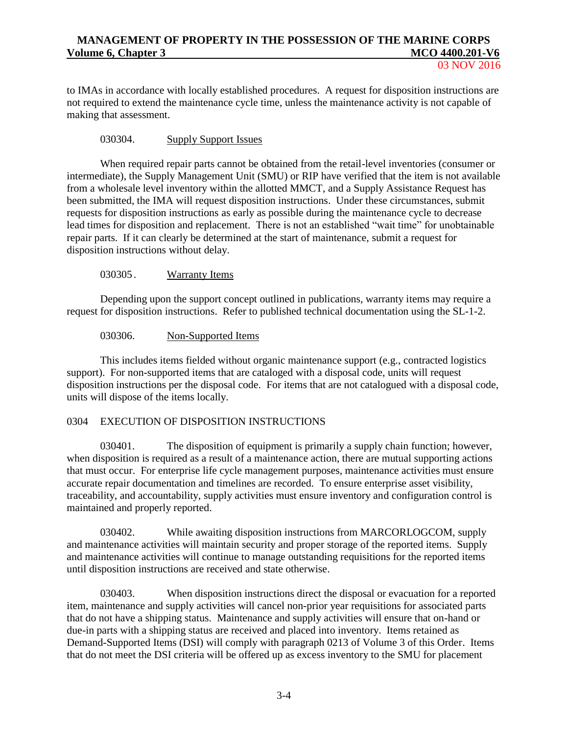to IMAs in accordance with locally established procedures. A request for disposition instructions are not required to extend the maintenance cycle time, unless the maintenance activity is not capable of making that assessment.

# 030304. Supply Support Issues

When required repair parts cannot be obtained from the retail-level inventories (consumer or intermediate), the Supply Management Unit (SMU) or RIP have verified that the item is not available from a wholesale level inventory within the allotted MMCT, and a Supply Assistance Request has been submitted, the IMA will request disposition instructions. Under these circumstances, submit requests for disposition instructions as early as possible during the maintenance cycle to decrease lead times for disposition and replacement. There is not an established "wait time" for unobtainable repair parts. If it can clearly be determined at the start of maintenance, submit a request for disposition instructions without delay.

### 030305 . Warranty Items

Depending upon the support concept outlined in publications, warranty items may require a request for disposition instructions. Refer to published technical documentation using the SL-1-2.

### 030306. Non-Supported Items

This includes items fielded without organic maintenance support (e.g., contracted logistics support). For non-supported items that are cataloged with a disposal code, units will request disposition instructions per the disposal code. For items that are not catalogued with a disposal code, units will dispose of the items locally.

### 0304 EXECUTION OF DISPOSITION INSTRUCTIONS

030401. The disposition of equipment is primarily a supply chain function; however, when disposition is required as a result of a maintenance action, there are mutual supporting actions that must occur. For enterprise life cycle management purposes, maintenance activities must ensure accurate repair documentation and timelines are recorded. To ensure enterprise asset visibility, traceability, and accountability, supply activities must ensure inventory and configuration control is maintained and properly reported.

030402. While awaiting disposition instructions from MARCORLOGCOM, supply and maintenance activities will maintain security and proper storage of the reported items. Supply and maintenance activities will continue to manage outstanding requisitions for the reported items until disposition instructions are received and state otherwise.

030403. When disposition instructions direct the disposal or evacuation for a reported item, maintenance and supply activities will cancel non-prior year requisitions for associated parts that do not have a shipping status. Maintenance and supply activities will ensure that on-hand or due-in parts with a shipping status are received and placed into inventory. Items retained as Demand-Supported Items (DSI) will comply with paragraph 0213 of Volume 3 of this Order. Items that do not meet the DSI criteria will be offered up as excess inventory to the SMU for placement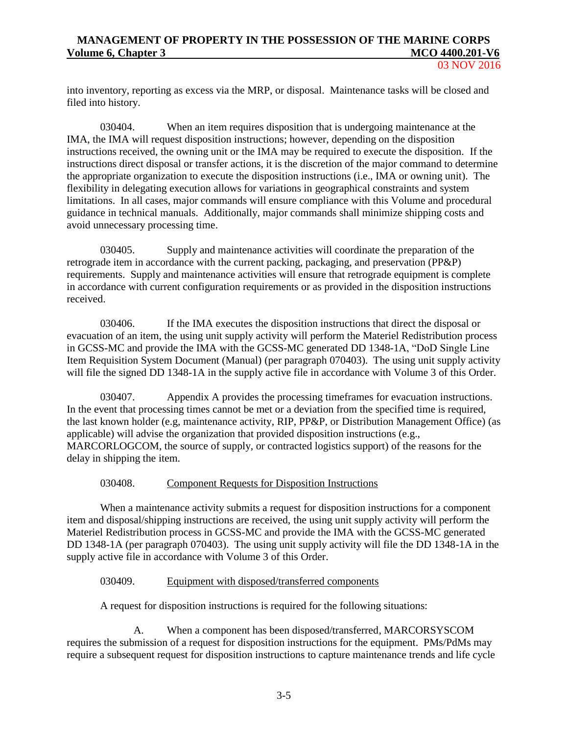03 NOV 2016

into inventory, reporting as excess via the MRP, or disposal. Maintenance tasks will be closed and filed into history.

030404. When an item requires disposition that is undergoing maintenance at the IMA, the IMA will request disposition instructions; however, depending on the disposition instructions received, the owning unit or the IMA may be required to execute the disposition. If the instructions direct disposal or transfer actions, it is the discretion of the major command to determine the appropriate organization to execute the disposition instructions (i.e., IMA or owning unit). The flexibility in delegating execution allows for variations in geographical constraints and system limitations. In all cases, major commands will ensure compliance with this Volume and procedural guidance in technical manuals. Additionally, major commands shall minimize shipping costs and avoid unnecessary processing time.

030405. Supply and maintenance activities will coordinate the preparation of the retrograde item in accordance with the current packing, packaging, and preservation (PP&P) requirements. Supply and maintenance activities will ensure that retrograde equipment is complete in accordance with current configuration requirements or as provided in the disposition instructions received.

030406. If the IMA executes the disposition instructions that direct the disposal or evacuation of an item, the using unit supply activity will perform the Materiel Redistribution process in GCSS-MC and provide the IMA with the GCSS-MC generated DD 1348-1A, "DoD Single Line Item Requisition System Document (Manual) (per paragraph 070403). The using unit supply activity will file the signed DD 1348-1A in the supply active file in accordance with Volume 3 of this Order.

030407. Appendix A provides the processing timeframes for evacuation instructions. In the event that processing times cannot be met or a deviation from the specified time is required, the last known holder (e.g, maintenance activity, RIP, PP&P, or Distribution Management Office) (as applicable) will advise the organization that provided disposition instructions (e.g., MARCORLOGCOM, the source of supply, or contracted logistics support) of the reasons for the delay in shipping the item.

### 030408. Component Requests for Disposition Instructions

When a maintenance activity submits a request for disposition instructions for a component item and disposal/shipping instructions are received, the using unit supply activity will perform the Materiel Redistribution process in GCSS-MC and provide the IMA with the GCSS-MC generated DD 1348-1A (per paragraph 070403). The using unit supply activity will file the DD 1348-1A in the supply active file in accordance with Volume 3 of this Order.

### 030409. Equipment with disposed/transferred components

A request for disposition instructions is required for the following situations:

A. When a component has been disposed/transferred, MARCORSYSCOM requires the submission of a request for disposition instructions for the equipment. PMs/PdMs may require a subsequent request for disposition instructions to capture maintenance trends and life cycle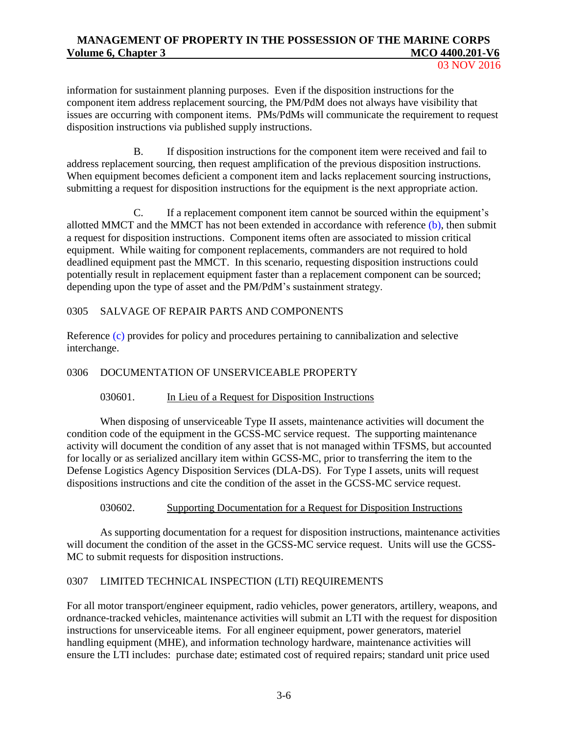03 NOV 2016

information for sustainment planning purposes. Even if the disposition instructions for the component item address replacement sourcing, the PM/PdM does not always have visibility that issues are occurring with component items. PMs/PdMs will communicate the requirement to request disposition instructions via published supply instructions.

B. If disposition instructions for the component item were received and fail to address replacement sourcing, then request amplification of the previous disposition instructions. When equipment becomes deficient a component item and lacks replacement sourcing instructions, submitting a request for disposition instructions for the equipment is the next appropriate action.

C. If a replacement component item cannot be sourced within the equipment's allotted MMCT and the MMCT has not been extended in accordance with reference  $(b)$ , then submit a request for disposition instructions. Component items often are associated to mission critical equipment. While waiting for component replacements, commanders are not required to hold deadlined equipment past the MMCT. In this scenario, requesting disposition instructions could potentially result in replacement equipment faster than a replacement component can be sourced; depending upon the type of asset and the PM/PdM's sustainment strategy.

# 0305 SALVAGE OF REPAIR PARTS AND COMPONENTS

Reference [\(c\)](#page-5-2) provides for policy and procedures pertaining to cannibalization and selective interchange.

### 0306 DOCUMENTATION OF UNSERVICEABLE PROPERTY

# 030601. In Lieu of a Request for Disposition Instructions

When disposing of unserviceable Type II assets, maintenance activities will document the condition code of the equipment in the GCSS-MC service request. The supporting maintenance activity will document the condition of any asset that is not managed within TFSMS, but accounted for locally or as serialized ancillary item within GCSS-MC, prior to transferring the item to the Defense Logistics Agency Disposition Services (DLA-DS). For Type I assets, units will request dispositions instructions and cite the condition of the asset in the GCSS-MC service request.

### 030602. Supporting Documentation for a Request for Disposition Instructions

As supporting documentation for a request for disposition instructions, maintenance activities will document the condition of the asset in the GCSS-MC service request. Units will use the GCSS-MC to submit requests for disposition instructions.

# 0307 LIMITED TECHNICAL INSPECTION (LTI) REQUIREMENTS

For all motor transport/engineer equipment, radio vehicles, power generators, artillery, weapons, and ordnance-tracked vehicles, maintenance activities will submit an LTI with the request for disposition instructions for unserviceable items. For all engineer equipment, power generators, materiel handling equipment (MHE), and information technology hardware, maintenance activities will ensure the LTI includes: purchase date; estimated cost of required repairs; standard unit price used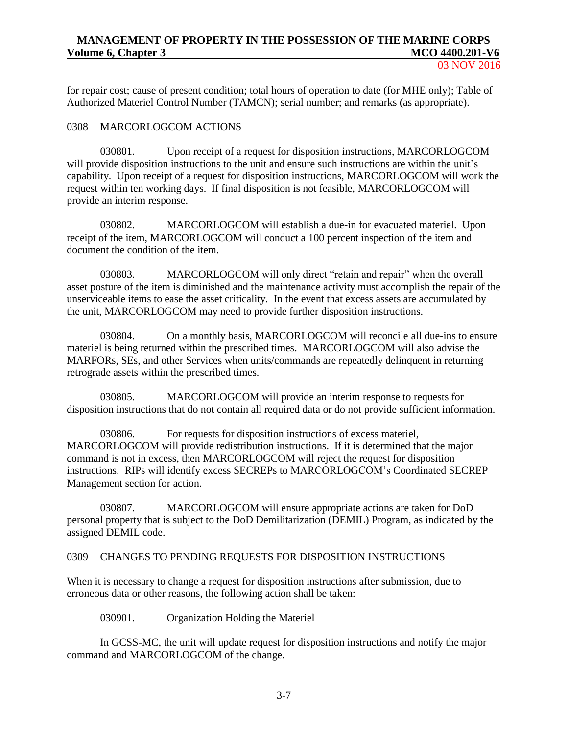for repair cost; cause of present condition; total hours of operation to date (for MHE only); Table of Authorized Materiel Control Number (TAMCN); serial number; and remarks (as appropriate).

### 0308 MARCORLOGCOM ACTIONS

030801. Upon receipt of a request for disposition instructions, MARCORLOGCOM will provide disposition instructions to the unit and ensure such instructions are within the unit's capability. Upon receipt of a request for disposition instructions, MARCORLOGCOM will work the request within ten working days. If final disposition is not feasible, MARCORLOGCOM will provide an interim response.

030802. MARCORLOGCOM will establish a due-in for evacuated materiel. Upon receipt of the item, MARCORLOGCOM will conduct a 100 percent inspection of the item and document the condition of the item.

030803. MARCORLOGCOM will only direct "retain and repair" when the overall asset posture of the item is diminished and the maintenance activity must accomplish the repair of the unserviceable items to ease the asset criticality. In the event that excess assets are accumulated by the unit, MARCORLOGCOM may need to provide further disposition instructions.

030804. On a monthly basis, MARCORLOGCOM will reconcile all due-ins to ensure materiel is being returned within the prescribed times. MARCORLOGCOM will also advise the MARFORs, SEs, and other Services when units/commands are repeatedly delinquent in returning retrograde assets within the prescribed times.

030805. MARCORLOGCOM will provide an interim response to requests for disposition instructions that do not contain all required data or do not provide sufficient information.

030806. For requests for disposition instructions of excess materiel, MARCORLOGCOM will provide redistribution instructions. If it is determined that the major command is not in excess, then MARCORLOGCOM will reject the request for disposition instructions. RIPs will identify excess SECREPs to MARCORLOGCOM's Coordinated SECREP Management section for action.

030807. MARCORLOGCOM will ensure appropriate actions are taken for DoD personal property that is subject to the DoD Demilitarization (DEMIL) Program, as indicated by the assigned DEMIL code.

### 0309 CHANGES TO PENDING REQUESTS FOR DISPOSITION INSTRUCTIONS

When it is necessary to change a request for disposition instructions after submission, due to erroneous data or other reasons, the following action shall be taken:

030901. Organization Holding the Materiel

In GCSS-MC, the unit will update request for disposition instructions and notify the major command and MARCORLOGCOM of the change.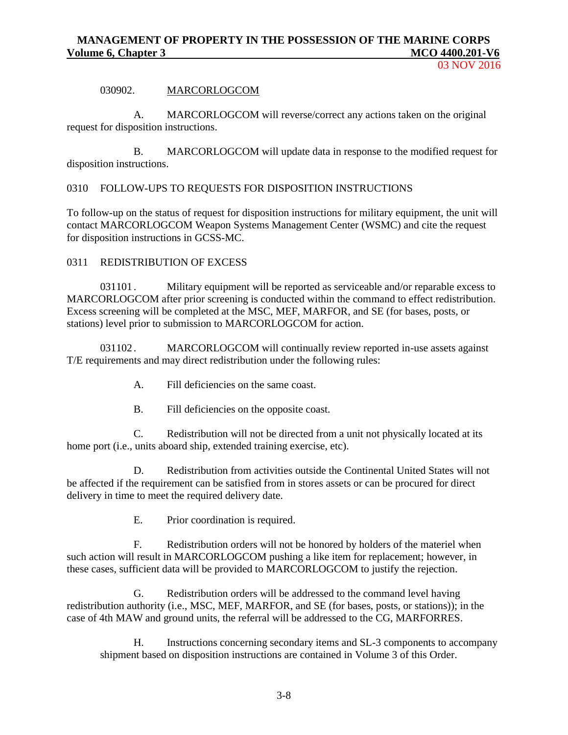### 030902. MARCORLOGCOM

A. MARCORLOGCOM will reverse/correct any actions taken on the original request for disposition instructions.

B. MARCORLOGCOM will update data in response to the modified request for disposition instructions.

0310 FOLLOW-UPS TO REQUESTS FOR DISPOSITION INSTRUCTIONS

To follow-up on the status of request for disposition instructions for military equipment, the unit will contact MARCORLOGCOM Weapon Systems Management Center (WSMC) and cite the request for disposition instructions in GCSS-MC.

### 0311 REDISTRIBUTION OF EXCESS

031101 . Military equipment will be reported as serviceable and/or reparable excess to MARCORLOGCOM after prior screening is conducted within the command to effect redistribution. Excess screening will be completed at the MSC, MEF, MARFOR, and SE (for bases, posts, or stations) level prior to submission to MARCORLOGCOM for action.

031102. MARCORLOGCOM will continually review reported in-use assets against T/E requirements and may direct redistribution under the following rules:

- A. Fill deficiencies on the same coast.
- B. Fill deficiencies on the opposite coast.

C. Redistribution will not be directed from a unit not physically located at its home port (i.e., units aboard ship, extended training exercise, etc).

D. Redistribution from activities outside the Continental United States will not be affected if the requirement can be satisfied from in stores assets or can be procured for direct delivery in time to meet the required delivery date.

E. Prior coordination is required.

F. Redistribution orders will not be honored by holders of the materiel when such action will result in MARCORLOGCOM pushing a like item for replacement; however, in these cases, sufficient data will be provided to MARCORLOGCOM to justify the rejection.

G. Redistribution orders will be addressed to the command level having redistribution authority (i.e., MSC, MEF, MARFOR, and SE (for bases, posts, or stations)); in the case of 4th MAW and ground units, the referral will be addressed to the CG, MARFORRES.

H. Instructions concerning secondary items and SL-3 components to accompany shipment based on disposition instructions are contained in Volume 3 of this Order.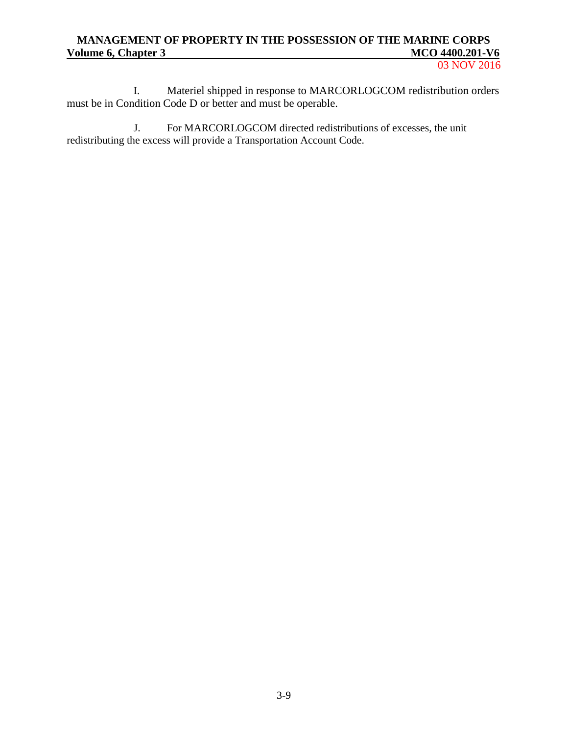03 NOV 2016

I. Materiel shipped in response to MARCORLOGCOM redistribution orders must be in Condition Code D or better and must be operable.

J. For MARCORLOGCOM directed redistributions of excesses, the unit redistributing the excess will provide a Transportation Account Code.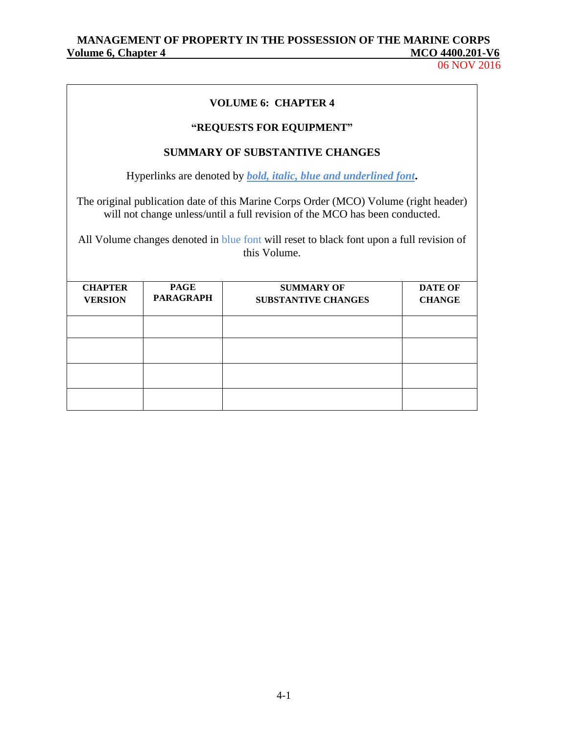06 NOV 2016

# **VOLUME 6: CHAPTER 4**

# **"REQUESTS FOR EQUIPMENT"**

# **SUMMARY OF SUBSTANTIVE CHANGES**

Hyperlinks are denoted by *bold, italic, blue and underlined font***.**

The original publication date of this Marine Corps Order (MCO) Volume (right header) will not change unless/until a full revision of the MCO has been conducted.

All Volume changes denoted in blue font will reset to black font upon a full revision of this Volume.

| <b>CHAPTER</b><br><b>VERSION</b> | <b>PAGE</b><br><b>PARAGRAPH</b> | <b>SUMMARY OF</b><br><b>SUBSTANTIVE CHANGES</b> | <b>DATE OF</b><br><b>CHANGE</b> |
|----------------------------------|---------------------------------|-------------------------------------------------|---------------------------------|
|                                  |                                 |                                                 |                                 |
|                                  |                                 |                                                 |                                 |
|                                  |                                 |                                                 |                                 |
|                                  |                                 |                                                 |                                 |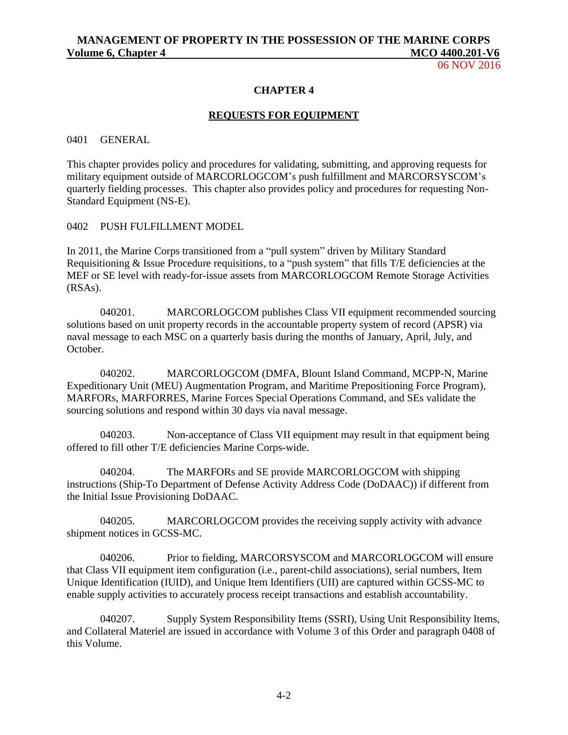06 NOV 2016

#### **CHAPTER 4**

#### **REQUESTS FOR EQUIPMENT**

#### 0401 GENERAL

This chapter provides policy and procedures for validating, submitting, and approving requests for military equipment outside of MARCORLOGCOM's push fulfillment and MARCORSYSCOM's quarterly fielding processes. This chapter also provides policy and procedures for requesting Non-Standard Equipment (NS-E).

#### 0402 PUSH FULFILLMENT MODEL

In 2011, the Marine Corps transitioned from a "pull system" driven by Military Standard Requisitioning & Issue Procedure requisitions, to a "push system" that fills T/E deficiencies at the MEF or SE level with ready-for-issue assets from MARCORLOGCOM Remote Storage Activities (RSAs).

040201. MARCORLOGCOM publishes Class VII equipment recommended sourcing solutions based on unit property records in the accountable property system of record (APSR) via naval message to each MSC on a quarterly basis during the months of January, April, July, and October.

040202. MARCORLOGCOM (DMFA, Blount Island Command, MCPP-N, Marine Expeditionary Unit (MEU) Augmentation Program, and Maritime Prepositioning Force Program), MARFORs, MARFORRES, Marine Forces Special Operations Command, and SEs validate the sourcing solutions and respond within 30 days via naval message.

040203. Non-acceptance of Class VII equipment may result in that equipment being offered to fill other T/E deficiencies Marine Corps-wide.

040204. The MARFORs and SE provide MARCORLOGCOM with shipping instructions (Ship-To Department of Defense Activity Address Code (DoDAAC)) if different from the Initial Issue Provisioning DoDAAC.

040205. MARCORLOGCOM provides the receiving supply activity with advance shipment notices in GCSS-MC.

040206. Prior to fielding, MARCORSYSCOM and MARCORLOGCOM will ensure that Class VII equipment item configuration (i.e., parent-child associations), serial numbers, Item Unique Identification (IUID), and Unique Item Identifiers (UII) are captured within GCSS-MC to enable supply activities to accurately process receipt transactions and establish accountability.

040207. Supply System Responsibility Items (SSRI), Using Unit Responsibility Items, and Collateral Materiel are issued in accordance with Volume 3 of this Order and paragraph 0408 of this Volume.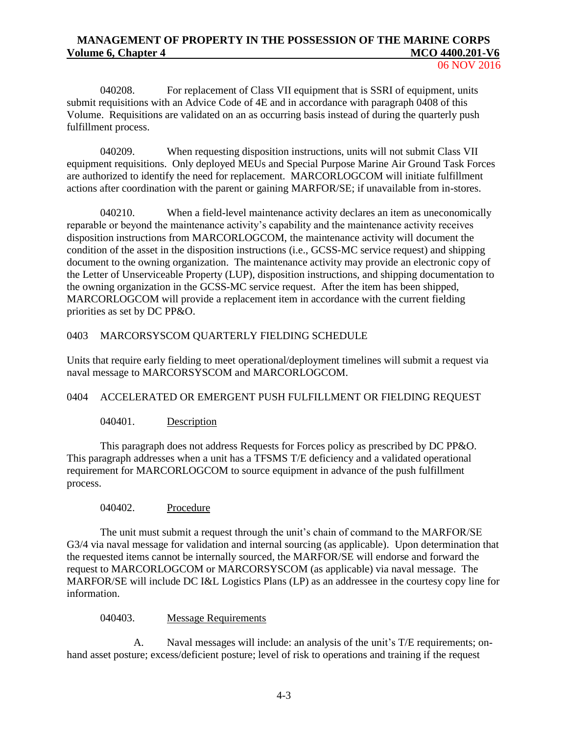06 NOV 2016

040208. For replacement of Class VII equipment that is SSRI of equipment, units submit requisitions with an Advice Code of 4E and in accordance with paragraph 0408 of this Volume. Requisitions are validated on an as occurring basis instead of during the quarterly push fulfillment process.

040209. When requesting disposition instructions, units will not submit Class VII equipment requisitions. Only deployed MEUs and Special Purpose Marine Air Ground Task Forces are authorized to identify the need for replacement. MARCORLOGCOM will initiate fulfillment actions after coordination with the parent or gaining MARFOR/SE; if unavailable from in-stores.

040210. When a field-level maintenance activity declares an item as uneconomically reparable or beyond the maintenance activity's capability and the maintenance activity receives disposition instructions from MARCORLOGCOM, the maintenance activity will document the condition of the asset in the disposition instructions (i.e., GCSS-MC service request) and shipping document to the owning organization. The maintenance activity may provide an electronic copy of the Letter of Unserviceable Property (LUP), disposition instructions, and shipping documentation to the owning organization in the GCSS-MC service request. After the item has been shipped, MARCORLOGCOM will provide a replacement item in accordance with the current fielding priorities as set by DC PP&O.

### 0403 MARCORSYSCOM QUARTERLY FIELDING SCHEDULE

Units that require early fielding to meet operational/deployment timelines will submit a request via naval message to MARCORSYSCOM and MARCORLOGCOM.

### 0404 ACCELERATED OR EMERGENT PUSH FULFILLMENT OR FIELDING REQUEST

040401. Description

This paragraph does not address Requests for Forces policy as prescribed by DC PP&O. This paragraph addresses when a unit has a TFSMS T/E deficiency and a validated operational requirement for MARCORLOGCOM to source equipment in advance of the push fulfillment process.

### 040402. Procedure

The unit must submit a request through the unit's chain of command to the MARFOR/SE G3/4 via naval message for validation and internal sourcing (as applicable). Upon determination that the requested items cannot be internally sourced, the MARFOR/SE will endorse and forward the request to MARCORLOGCOM or MARCORSYSCOM (as applicable) via naval message. The MARFOR/SE will include DC I&L Logistics Plans (LP) as an addressee in the courtesy copy line for information.

### 040403. Message Requirements

A. Naval messages will include: an analysis of the unit's T/E requirements; onhand asset posture; excess/deficient posture; level of risk to operations and training if the request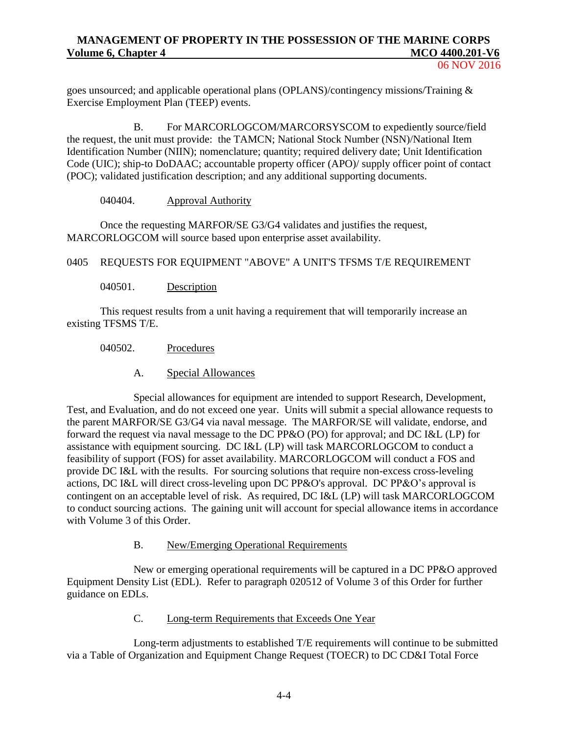goes unsourced; and applicable operational plans (OPLANS)/contingency missions/Training & Exercise Employment Plan (TEEP) events.

B. For MARCORLOGCOM/MARCORSYSCOM to expediently source/field the request, the unit must provide: the TAMCN; National Stock Number (NSN)/National Item Identification Number (NIIN); nomenclature; quantity; required delivery date; Unit Identification Code (UIC); ship-to DoDAAC; accountable property officer (APO)/ supply officer point of contact (POC); validated justification description; and any additional supporting documents.

040404. Approval Authority

Once the requesting MARFOR/SE G3/G4 validates and justifies the request, MARCORLOGCOM will source based upon enterprise asset availability.

0405 REQUESTS FOR EQUIPMENT "ABOVE" A UNIT'S TFSMS T/E REQUIREMENT

040501. Description

This request results from a unit having a requirement that will temporarily increase an existing TFSMS T/E.

040502. Procedures

A. Special Allowances

Special allowances for equipment are intended to support Research, Development, Test, and Evaluation, and do not exceed one year. Units will submit a special allowance requests to the parent MARFOR/SE G3/G4 via naval message. The MARFOR/SE will validate, endorse, and forward the request via naval message to the DC PP&O (PO) for approval; and DC I&L (LP) for assistance with equipment sourcing. DC I&L (LP) will task MARCORLOGCOM to conduct a feasibility of support (FOS) for asset availability. MARCORLOGCOM will conduct a FOS and provide DC I&L with the results. For sourcing solutions that require non-excess cross-leveling actions, DC I&L will direct cross-leveling upon DC PP&O's approval. DC PP&O's approval is contingent on an acceptable level of risk. As required, DC I&L (LP) will task MARCORLOGCOM to conduct sourcing actions. The gaining unit will account for special allowance items in accordance with Volume 3 of this Order.

### B. New/Emerging Operational Requirements

New or emerging operational requirements will be captured in a DC PP&O approved Equipment Density List (EDL). Refer to paragraph 020512 of Volume 3 of this Order for further guidance on EDLs.

C. Long-term Requirements that Exceeds One Year

Long-term adjustments to established T/E requirements will continue to be submitted via a Table of Organization and Equipment Change Request (TOECR) to DC CD&I Total Force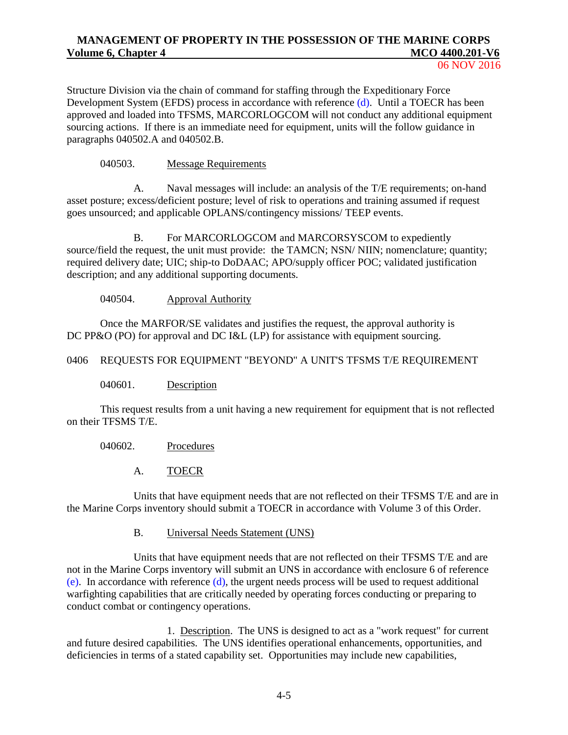06 NOV 2016

Structure Division via the chain of command for staffing through the Expeditionary Force Development System (EFDS) process in accordance with reference [\(d\).](#page-5-3) Until a TOECR has been approved and loaded into TFSMS, MARCORLOGCOM will not conduct any additional equipment sourcing actions. If there is an immediate need for equipment, units will the follow guidance in paragraphs 040502.A and 040502.B.

040503. Message Requirements

A. Naval messages will include: an analysis of the T/E requirements; on-hand asset posture; excess/deficient posture; level of risk to operations and training assumed if request goes unsourced; and applicable OPLANS/contingency missions/ TEEP events.

B. For MARCORLOGCOM and MARCORSYSCOM to expediently source/field the request, the unit must provide: the TAMCN; NSN/ NIIN; nomenclature; quantity; required delivery date; UIC; ship-to DoDAAC; APO/supply officer POC; validated justification description; and any additional supporting documents.

040504. Approval Authority

Once the MARFOR/SE validates and justifies the request, the approval authority is DC PP&O (PO) for approval and DC I&L (LP) for assistance with equipment sourcing.

### 0406 REQUESTS FOR EQUIPMENT "BEYOND" A UNIT'S TFSMS T/E REQUIREMENT

040601. Description

This request results from a unit having a new requirement for equipment that is not reflected on their TFSMS T/E.

040602. Procedures

A. TOECR

Units that have equipment needs that are not reflected on their TFSMS T/E and are in the Marine Corps inventory should submit a TOECR in accordance with Volume 3 of this Order.

B. Universal Needs Statement (UNS)

Units that have equipment needs that are not reflected on their TFSMS T/E and are not in the Marine Corps inventory will submit an UNS in accordance with enclosure 6 of reference [\(e\).](#page-5-4) In accordance with reference [\(d\),](#page-5-3) the urgent needs process will be used to request additional warfighting capabilities that are critically needed by operating forces conducting or preparing to conduct combat or contingency operations.

1. Description. The UNS is designed to act as a "work request" for current and future desired capabilities. The UNS identifies operational enhancements, opportunities, and deficiencies in terms of a stated capability set. Opportunities may include new capabilities,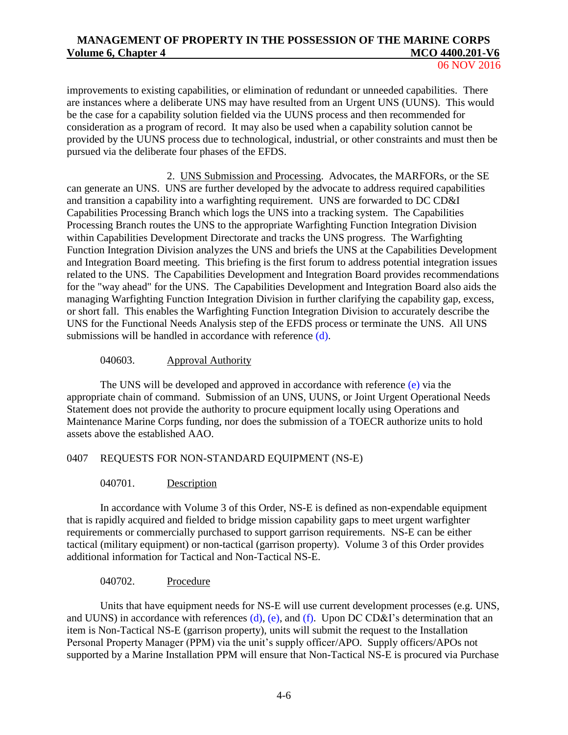improvements to existing capabilities, or elimination of redundant or unneeded capabilities. There are instances where a deliberate UNS may have resulted from an Urgent UNS (UUNS). This would be the case for a capability solution fielded via the UUNS process and then recommended for consideration as a program of record. It may also be used when a capability solution cannot be provided by the UUNS process due to technological, industrial, or other constraints and must then be pursued via the deliberate four phases of the EFDS.

2. UNS Submission and Processing. Advocates, the MARFORs, or the SE can generate an UNS. UNS are further developed by the advocate to address required capabilities and transition a capability into a warfighting requirement. UNS are forwarded to DC CD&I Capabilities Processing Branch which logs the UNS into a tracking system. The Capabilities Processing Branch routes the UNS to the appropriate Warfighting Function Integration Division within Capabilities Development Directorate and tracks the UNS progress. The Warfighting Function Integration Division analyzes the UNS and briefs the UNS at the Capabilities Development and Integration Board meeting. This briefing is the first forum to address potential integration issues related to the UNS. The Capabilities Development and Integration Board provides recommendations for the "way ahead" for the UNS. The Capabilities Development and Integration Board also aids the managing Warfighting Function Integration Division in further clarifying the capability gap, excess, or short fall. This enables the Warfighting Function Integration Division to accurately describe the UNS for the Functional Needs Analysis step of the EFDS process or terminate the UNS. All UNS submissions will be handled in accordance with reference [\(d\).](#page-5-3)

### 040603. Approval Authority

The UNS will be developed and approved in accordance with reference [\(e\)](#page-5-4) via the appropriate chain of command. Submission of an UNS, UUNS, or Joint Urgent Operational Needs Statement does not provide the authority to procure equipment locally using Operations and Maintenance Marine Corps funding, nor does the submission of a TOECR authorize units to hold assets above the established AAO.

### 0407 REQUESTS FOR NON-STANDARD EQUIPMENT (NS-E)

### 040701. Description

In accordance with Volume 3 of this Order, NS-E is defined as non-expendable equipment that is rapidly acquired and fielded to bridge mission capability gaps to meet urgent warfighter requirements or commercially purchased to support garrison requirements. NS-E can be either tactical (military equipment) or non-tactical (garrison property). Volume 3 of this Order provides additional information for Tactical and Non-Tactical NS-E.

### 040702. Procedure

Units that have equipment needs for NS-E will use current development processes (e.g. UNS, and UUNS) in accordance with references  $(d)$ , [\(e\),](#page-5-4) and [\(f\).](#page-5-5) Upon DC CD&I's determination that an item is Non-Tactical NS-E (garrison property), units will submit the request to the Installation Personal Property Manager (PPM) via the unit's supply officer/APO. Supply officers/APOs not supported by a Marine Installation PPM will ensure that Non-Tactical NS-E is procured via Purchase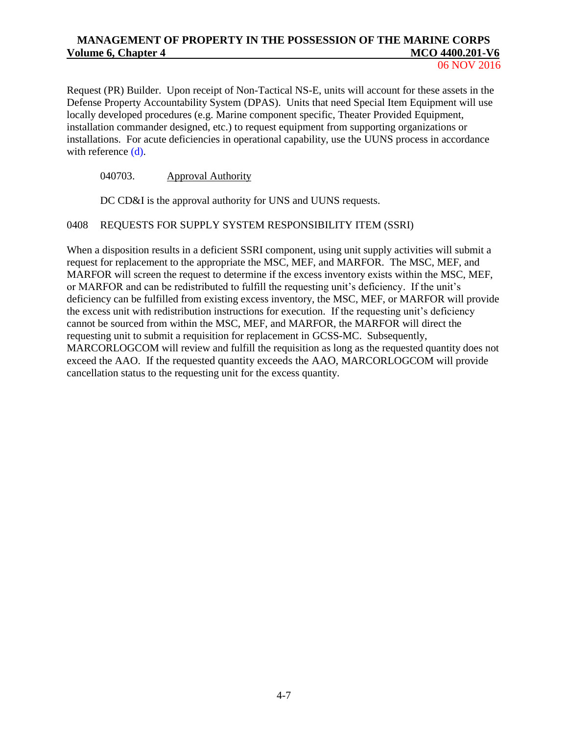Request (PR) Builder. Upon receipt of Non-Tactical NS-E, units will account for these assets in the Defense Property Accountability System (DPAS). Units that need Special Item Equipment will use locally developed procedures (e.g. Marine component specific, Theater Provided Equipment, installation commander designed, etc.) to request equipment from supporting organizations or installations. For acute deficiencies in operational capability, use the UUNS process in accordance with reference [\(d\).](#page-5-3)

# 040703. Approval Authority

DC CD&I is the approval authority for UNS and UUNS requests.

### 0408 REQUESTS FOR SUPPLY SYSTEM RESPONSIBILITY ITEM (SSRI)

When a disposition results in a deficient SSRI component, using unit supply activities will submit a request for replacement to the appropriate the MSC, MEF, and MARFOR. The MSC, MEF, and MARFOR will screen the request to determine if the excess inventory exists within the MSC, MEF, or MARFOR and can be redistributed to fulfill the requesting unit's deficiency. If the unit's deficiency can be fulfilled from existing excess inventory, the MSC, MEF, or MARFOR will provide the excess unit with redistribution instructions for execution. If the requesting unit's deficiency cannot be sourced from within the MSC, MEF, and MARFOR, the MARFOR will direct the requesting unit to submit a requisition for replacement in GCSS-MC. Subsequently, MARCORLOGCOM will review and fulfill the requisition as long as the requested quantity does not exceed the AAO. If the requested quantity exceeds the AAO, MARCORLOGCOM will provide cancellation status to the requesting unit for the excess quantity.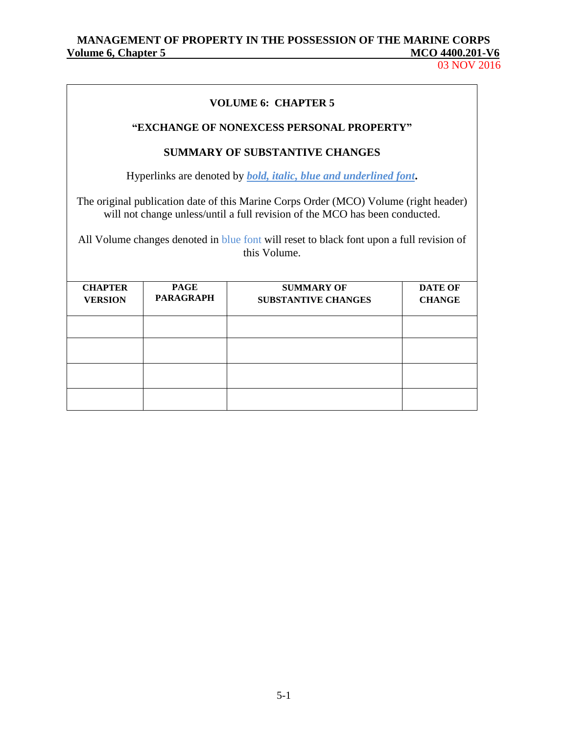03 NOV 2016

|                                                                                                                                                           |                                                                                                                                                                                                                                                                                 | <b>VOLUME 6: CHAPTER 5</b>                                               |  |  |  |
|-----------------------------------------------------------------------------------------------------------------------------------------------------------|---------------------------------------------------------------------------------------------------------------------------------------------------------------------------------------------------------------------------------------------------------------------------------|--------------------------------------------------------------------------|--|--|--|
|                                                                                                                                                           |                                                                                                                                                                                                                                                                                 | "EXCHANGE OF NONEXCESS PERSONAL PROPERTY"                                |  |  |  |
|                                                                                                                                                           |                                                                                                                                                                                                                                                                                 | <b>SUMMARY OF SUBSTANTIVE CHANGES</b>                                    |  |  |  |
|                                                                                                                                                           |                                                                                                                                                                                                                                                                                 | Hyperlinks are denoted by <i>bold, italic, blue and underlined font.</i> |  |  |  |
|                                                                                                                                                           | The original publication date of this Marine Corps Order (MCO) Volume (right header)<br>will not change unless/until a full revision of the MCO has been conducted.<br>All Volume changes denoted in blue font will reset to black font upon a full revision of<br>this Volume. |                                                                          |  |  |  |
| <b>CHAPTER</b><br><b>PAGE</b><br><b>SUMMARY OF</b><br><b>DATE OF</b><br><b>PARAGRAPH</b><br><b>VERSION</b><br><b>SUBSTANTIVE CHANGES</b><br><b>CHANGE</b> |                                                                                                                                                                                                                                                                                 |                                                                          |  |  |  |
|                                                                                                                                                           |                                                                                                                                                                                                                                                                                 |                                                                          |  |  |  |
|                                                                                                                                                           |                                                                                                                                                                                                                                                                                 |                                                                          |  |  |  |
|                                                                                                                                                           |                                                                                                                                                                                                                                                                                 |                                                                          |  |  |  |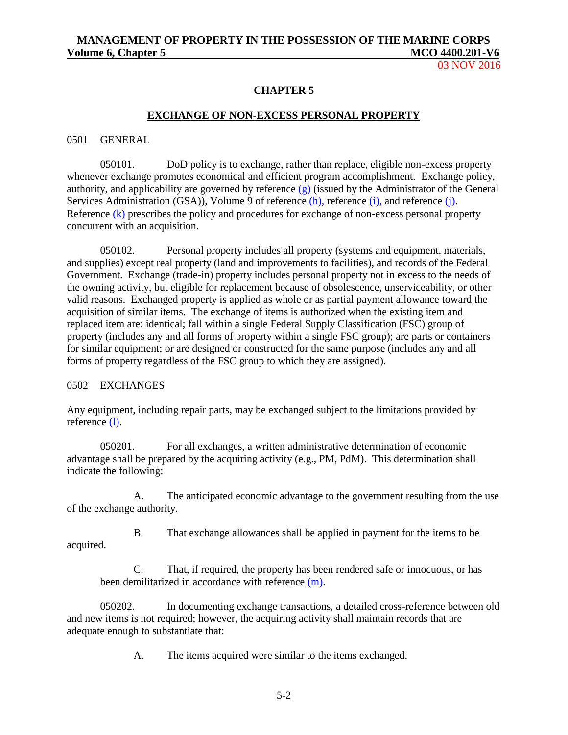03 NOV 2016

### **CHAPTER 5**

#### **EXCHANGE OF NON-EXCESS PERSONAL PROPERTY**

#### 0501 GENERAL

050101. DoD policy is to exchange, rather than replace, eligible non-excess property whenever exchange promotes economical and efficient program accomplishment. Exchange policy, authority, and applicability are governed by reference [\(g\)](#page-5-6) (issued by the Administrator of the General Services Administration (GSA)), Volume 9 of reference [\(h\),](#page-5-7) reference [\(i\),](#page-5-8) and reference [\(j\).](#page-5-9) Reference [\(k\)](#page-5-10) prescribes the policy and procedures for exchange of non-excess personal property concurrent with an acquisition.

050102. Personal property includes all property (systems and equipment, materials, and supplies) except real property (land and improvements to facilities), and records of the Federal Government. Exchange (trade-in) property includes personal property not in excess to the needs of the owning activity, but eligible for replacement because of obsolescence, unserviceability, or other valid reasons. Exchanged property is applied as whole or as partial payment allowance toward the acquisition of similar items. The exchange of items is authorized when the existing item and replaced item are: identical; fall within a single Federal Supply Classification (FSC) group of property (includes any and all forms of property within a single FSC group); are parts or containers for similar equipment; or are designed or constructed for the same purpose (includes any and all forms of property regardless of the FSC group to which they are assigned).

#### 0502 EXCHANGES

Any equipment, including repair parts, may be exchanged subject to the limitations provided by reference [\(l\).](#page-5-11)

050201. For all exchanges, a written administrative determination of economic advantage shall be prepared by the acquiring activity (e.g., PM, PdM). This determination shall indicate the following:

A. The anticipated economic advantage to the government resulting from the use of the exchange authority.

B. That exchange allowances shall be applied in payment for the items to be acquired.

C. That, if required, the property has been rendered safe or innocuous, or has been demilitarized in accordance with reference [\(m\).](#page-5-12)

050202. In documenting exchange transactions, a detailed cross-reference between old and new items is not required; however, the acquiring activity shall maintain records that are adequate enough to substantiate that:

A. The items acquired were similar to the items exchanged.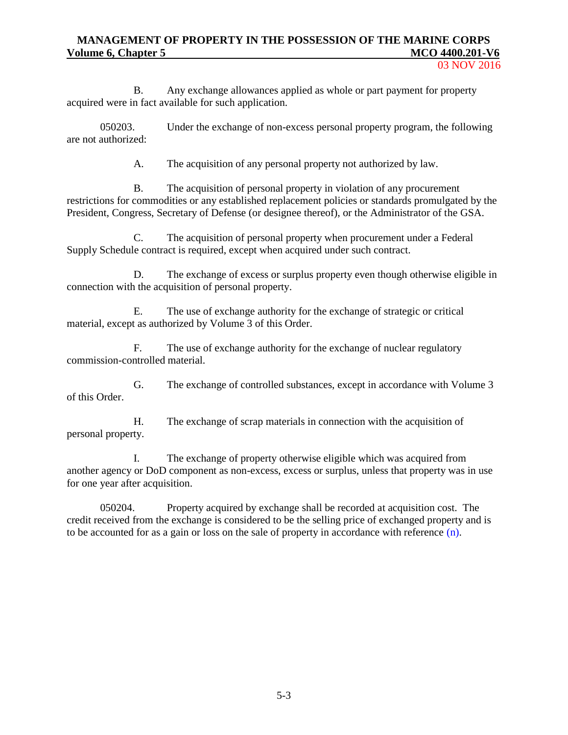03 NOV 2016

B. Any exchange allowances applied as whole or part payment for property acquired were in fact available for such application.

050203. Under the exchange of non-excess personal property program, the following are not authorized:

A. The acquisition of any personal property not authorized by law.

B. The acquisition of personal property in violation of any procurement restrictions for commodities or any established replacement policies or standards promulgated by the President, Congress, Secretary of Defense (or designee thereof), or the Administrator of the GSA.

C. The acquisition of personal property when procurement under a Federal Supply Schedule contract is required, except when acquired under such contract.

D. The exchange of excess or surplus property even though otherwise eligible in connection with the acquisition of personal property.

E. The use of exchange authority for the exchange of strategic or critical material, except as authorized by Volume 3 of this Order.

F. The use of exchange authority for the exchange of nuclear regulatory commission-controlled material.

G. The exchange of controlled substances, except in accordance with Volume 3 of this Order.

H. The exchange of scrap materials in connection with the acquisition of personal property.

I. The exchange of property otherwise eligible which was acquired from another agency or DoD component as non-excess, excess or surplus, unless that property was in use for one year after acquisition.

050204. Property acquired by exchange shall be recorded at acquisition cost. The credit received from the exchange is considered to be the selling price of exchanged property and is to be accounted for as a gain or loss on the sale of property in accordance with reference  $(n)$ .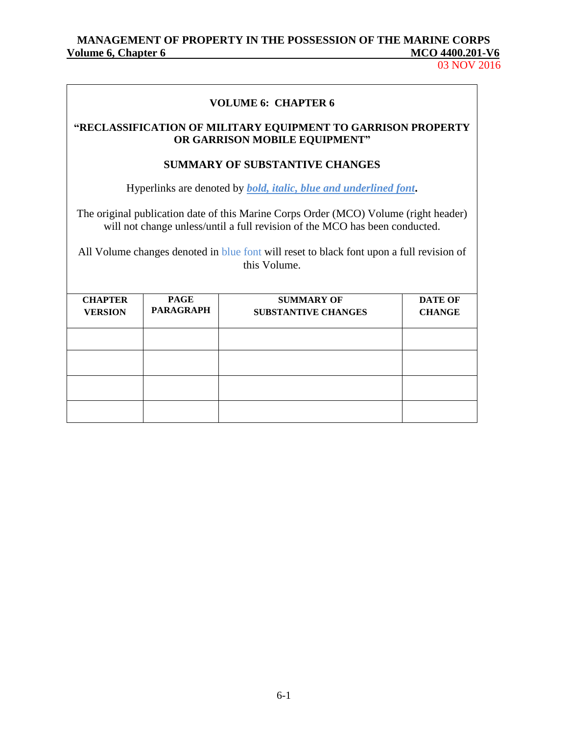# **VOLUME 6: CHAPTER 6**

### **"RECLASSIFICATION OF MILITARY EQUIPMENT TO GARRISON PROPERTY OR GARRISON MOBILE EQUIPMENT"**

### **SUMMARY OF SUBSTANTIVE CHANGES**

Hyperlinks are denoted by *bold, italic, blue and underlined font***.**

The original publication date of this Marine Corps Order (MCO) Volume (right header) will not change unless/until a full revision of the MCO has been conducted.

All Volume changes denoted in blue font will reset to black font upon a full revision of this Volume.

| <b>CHAPTER</b><br><b>VERSION</b> | <b>PAGE</b><br><b>PARAGRAPH</b> | <b>SUMMARY OF</b><br><b>SUBSTANTIVE CHANGES</b> | <b>DATE OF</b><br><b>CHANGE</b> |
|----------------------------------|---------------------------------|-------------------------------------------------|---------------------------------|
|                                  |                                 |                                                 |                                 |
|                                  |                                 |                                                 |                                 |
|                                  |                                 |                                                 |                                 |
|                                  |                                 |                                                 |                                 |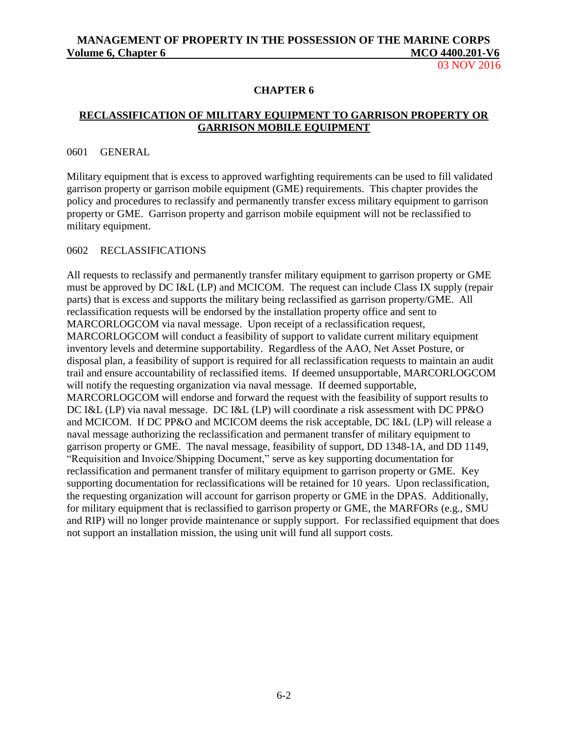03 NOV 2016

### **CHAPTER 6**

# **RECLASSIFICATION OF MILITARY EQUIPMENT TO GARRISON PROPERTY OR GARRISON MOBILE EQUIPMENT**

### 0601 GENERAL

Military equipment that is excess to approved warfighting requirements can be used to fill validated garrison property or garrison mobile equipment (GME) requirements. This chapter provides the policy and procedures to reclassify and permanently transfer excess military equipment to garrison property or GME. Garrison property and garrison mobile equipment will not be reclassified to military equipment.

### 0602 RECLASSIFICATIONS

All requests to reclassify and permanently transfer military equipment to garrison property or GME must be approved by DC I&L (LP) and MCICOM. The request can include Class IX supply (repair parts) that is excess and supports the military being reclassified as garrison property/GME. All reclassification requests will be endorsed by the installation property office and sent to MARCORLOGCOM via naval message. Upon receipt of a reclassification request, MARCORLOGCOM will conduct a feasibility of support to validate current military equipment inventory levels and determine supportability. Regardless of the AAO, Net Asset Posture, or disposal plan, a feasibility of support is required for all reclassification requests to maintain an audit trail and ensure accountability of reclassified items. If deemed unsupportable, MARCORLOGCOM will notify the requesting organization via naval message. If deemed supportable, MARCORLOGCOM will endorse and forward the request with the feasibility of support results to DC I&L (LP) via naval message. DC I&L (LP) will coordinate a risk assessment with DC PP&O and MCICOM. If DC PP&O and MCICOM deems the risk acceptable, DC I&L (LP) will release a naval message authorizing the reclassification and permanent transfer of military equipment to garrison property or GME. The naval message, feasibility of support, DD 1348-1A, and DD 1149, "Requisition and Invoice/Shipping Document," serve as key supporting documentation for reclassification and permanent transfer of military equipment to garrison property or GME. Key supporting documentation for reclassifications will be retained for 10 years. Upon reclassification, the requesting organization will account for garrison property or GME in the DPAS. Additionally, for military equipment that is reclassified to garrison property or GME, the MARFORs (e.g., SMU and RIP) will no longer provide maintenance or supply support. For reclassified equipment that does not support an installation mission, the using unit will fund all support costs.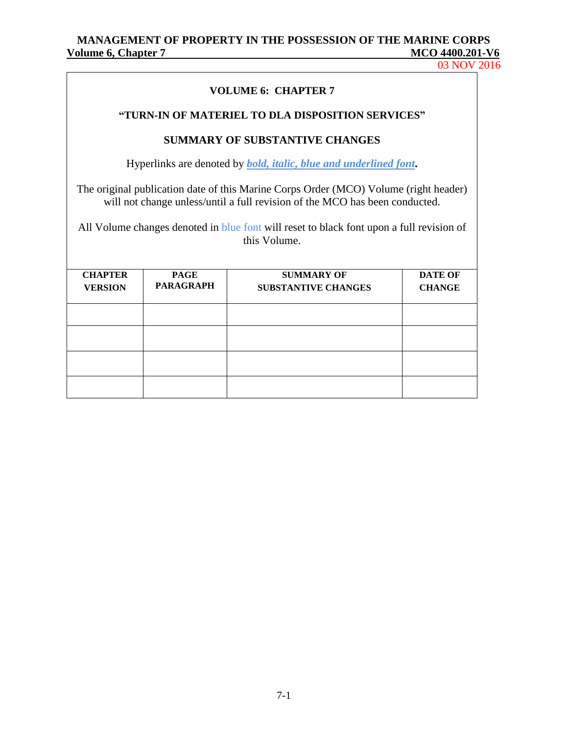03 NOV 2016

### **VOLUME 6: CHAPTER 7**

### **"TURN-IN OF MATERIEL TO DLA DISPOSITION SERVICES"**

### **SUMMARY OF SUBSTANTIVE CHANGES**

Hyperlinks are denoted by *bold, italic, blue and underlined font***.**

The original publication date of this Marine Corps Order (MCO) Volume (right header) will not change unless/until a full revision of the MCO has been conducted.

All Volume changes denoted in blue font will reset to black font upon a full revision of this Volume.

| <b>CHAPTER</b><br><b>VERSION</b> | <b>PAGE</b><br><b>PARAGRAPH</b> | <b>SUMMARY OF</b><br><b>SUBSTANTIVE CHANGES</b> | <b>DATE OF</b><br><b>CHANGE</b> |
|----------------------------------|---------------------------------|-------------------------------------------------|---------------------------------|
|                                  |                                 |                                                 |                                 |
|                                  |                                 |                                                 |                                 |
|                                  |                                 |                                                 |                                 |
|                                  |                                 |                                                 |                                 |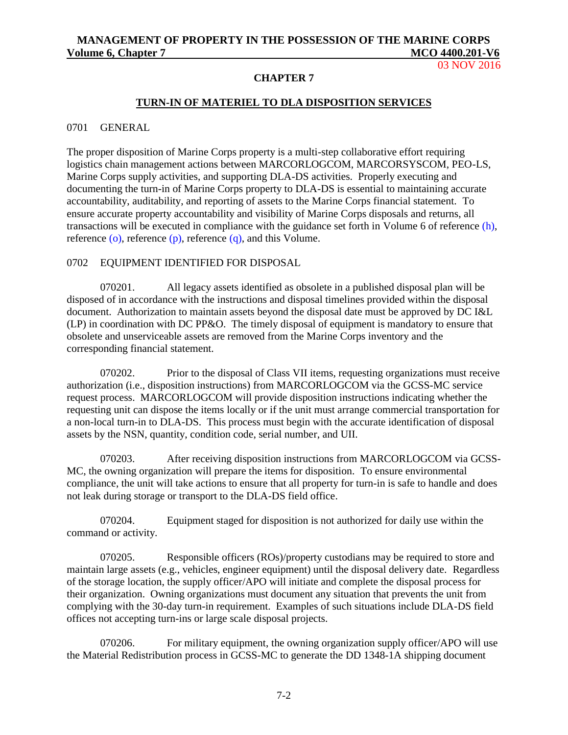03 NOV 2016

### **CHAPTER 7**

### **TURN-IN OF MATERIEL TO DLA DISPOSITION SERVICES**

0701 GENERAL

The proper disposition of Marine Corps property is a multi-step collaborative effort requiring logistics chain management actions between MARCORLOGCOM, MARCORSYSCOM, PEO-LS, Marine Corps supply activities, and supporting DLA-DS activities. Properly executing and documenting the turn-in of Marine Corps property to DLA-DS is essential to maintaining accurate accountability, auditability, and reporting of assets to the Marine Corps financial statement. To ensure accurate property accountability and visibility of Marine Corps disposals and returns, all transactions will be executed in compliance with the guidance set forth in Volume 6 of reference [\(h\),](#page-5-7) reference  $(o)$ , reference  $(p)$ , reference  $(q)$ , and this Volume.

### 0702 EQUIPMENT IDENTIFIED FOR DISPOSAL

070201. All legacy assets identified as obsolete in a published disposal plan will be disposed of in accordance with the instructions and disposal timelines provided within the disposal document. Authorization to maintain assets beyond the disposal date must be approved by DC I&L (LP) in coordination with DC PP&O. The timely disposal of equipment is mandatory to ensure that obsolete and unserviceable assets are removed from the Marine Corps inventory and the corresponding financial statement.

070202. Prior to the disposal of Class VII items, requesting organizations must receive authorization (i.e., disposition instructions) from MARCORLOGCOM via the GCSS-MC service request process. MARCORLOGCOM will provide disposition instructions indicating whether the requesting unit can dispose the items locally or if the unit must arrange commercial transportation for a non-local turn-in to DLA-DS. This process must begin with the accurate identification of disposal assets by the NSN, quantity, condition code, serial number, and UII.

070203. After receiving disposition instructions from MARCORLOGCOM via GCSS-MC, the owning organization will prepare the items for disposition. To ensure environmental compliance, the unit will take actions to ensure that all property for turn-in is safe to handle and does not leak during storage or transport to the DLA-DS field office.

070204. Equipment staged for disposition is not authorized for daily use within the command or activity.

070205. Responsible officers (ROs)/property custodians may be required to store and maintain large assets (e.g., vehicles, engineer equipment) until the disposal delivery date. Regardless of the storage location, the supply officer/APO will initiate and complete the disposal process for their organization. Owning organizations must document any situation that prevents the unit from complying with the 30-day turn-in requirement. Examples of such situations include DLA-DS field offices not accepting turn-ins or large scale disposal projects.

070206. For military equipment, the owning organization supply officer/APO will use the Material Redistribution process in GCSS-MC to generate the DD 1348-1A shipping document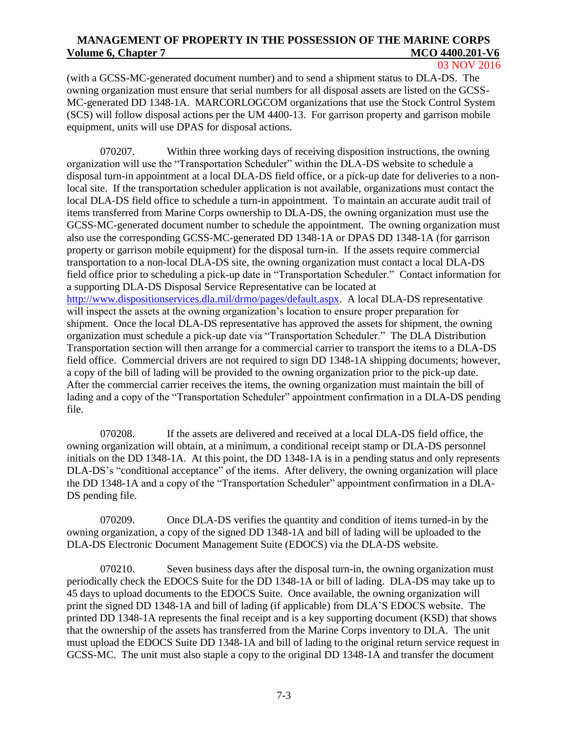03 NOV 2016

(with a GCSS-MC-generated document number) and to send a shipment status to DLA-DS. The owning organization must ensure that serial numbers for all disposal assets are listed on the GCSS-MC-generated DD 1348-1A. MARCORLOGCOM organizations that use the Stock Control System (SCS) will follow disposal actions per the UM 4400-13. For garrison property and garrison mobile equipment, units will use DPAS for disposal actions.

070207. Within three working days of receiving disposition instructions, the owning organization will use the "Transportation Scheduler" within the DLA-DS website to schedule a disposal turn-in appointment at a local DLA-DS field office, or a pick-up date for deliveries to a nonlocal site. If the transportation scheduler application is not available, organizations must contact the local DLA-DS field office to schedule a turn-in appointment. To maintain an accurate audit trail of items transferred from Marine Corps ownership to DLA-DS, the owning organization must use the GCSS-MC-generated document number to schedule the appointment. The owning organization must also use the corresponding GCSS-MC-generated DD 1348-1A or DPAS DD 1348-1A (for garrison property or garrison mobile equipment) for the disposal turn-in. If the assets require commercial transportation to a non-local DLA-DS site, the owning organization must contact a local DLA-DS field office prior to scheduling a pick-up date in "Transportation Scheduler." Contact information for a supporting DLA-DS Disposal Service Representative can be located at [http://www.dispositionservices.dla.mil/drmo/pages/default.aspx.](http://www.dispositionservices.dla.mil/drmo/pages/default.aspx) A local DLA-DS representative will inspect the assets at the owning organization's location to ensure proper preparation for shipment. Once the local DLA-DS representative has approved the assets for shipment, the owning organization must schedule a pick-up date via "Transportation Scheduler." The DLA Distribution Transportation section will then arrange for a commercial carrier to transport the items to a DLA-DS field office. Commercial drivers are not required to sign DD 1348-1A shipping documents; however, a copy of the bill of lading will be provided to the owning organization prior to the pick-up date. After the commercial carrier receives the items, the owning organization must maintain the bill of lading and a copy of the "Transportation Scheduler" appointment confirmation in a DLA-DS pending file.

070208. If the assets are delivered and received at a local DLA-DS field office, the owning organization will obtain, at a minimum, a conditional receipt stamp or DLA-DS personnel initials on the DD 1348-1A. At this point, the DD 1348-1A is in a pending status and only represents DLA-DS's "conditional acceptance" of the items. After delivery, the owning organization will place the DD 1348-1A and a copy of the "Transportation Scheduler" appointment confirmation in a DLA-DS pending file.

070209. Once DLA-DS verifies the quantity and condition of items turned-in by the owning organization, a copy of the signed DD 1348-1A and bill of lading will be uploaded to the DLA-DS Electronic Document Management Suite (EDOCS) via the DLA-DS website.

070210. Seven business days after the disposal turn-in, the owning organization must periodically check the EDOCS Suite for the DD 1348-1A or bill of lading. DLA-DS may take up to 45 days to upload documents to the EDOCS Suite. Once available, the owning organization will print the signed DD 1348-1A and bill of lading (if applicable) from DLA'S EDOCS website. The printed DD 1348-1A represents the final receipt and is a key supporting document (KSD) that shows that the ownership of the assets has transferred from the Marine Corps inventory to DLA. The unit must upload the EDOCS Suite DD 1348-1A and bill of lading to the original return service request in GCSS-MC. The unit must also staple a copy to the original DD 1348-1A and transfer the document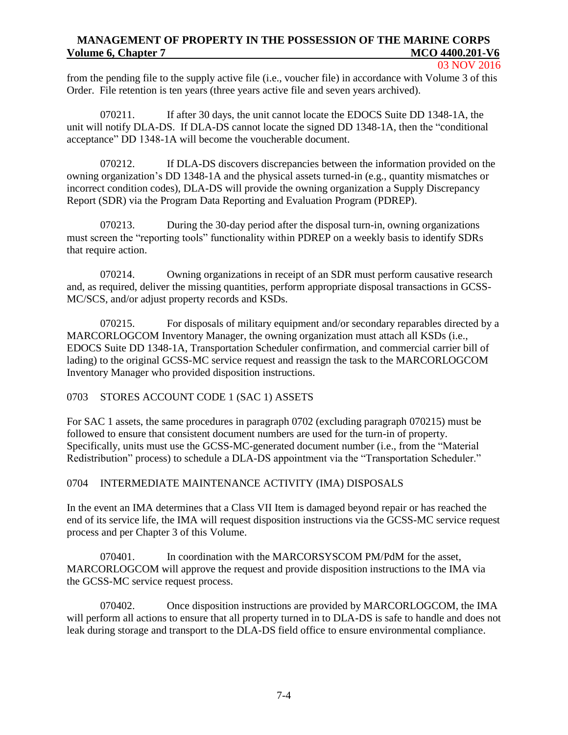#### 03 NOV 2016

from the pending file to the supply active file (i.e., voucher file) in accordance with Volume 3 of this Order. File retention is ten years (three years active file and seven years archived).

070211. If after 30 days, the unit cannot locate the EDOCS Suite DD 1348-1A, the unit will notify DLA-DS. If DLA-DS cannot locate the signed DD 1348-1A, then the "conditional acceptance" DD 1348-1A will become the voucherable document.

070212. If DLA-DS discovers discrepancies between the information provided on the owning organization's DD 1348-1A and the physical assets turned-in (e.g., quantity mismatches or incorrect condition codes), DLA-DS will provide the owning organization a Supply Discrepancy Report (SDR) via the Program Data Reporting and Evaluation Program (PDREP).

070213. During the 30-day period after the disposal turn-in, owning organizations must screen the "reporting tools" functionality within PDREP on a weekly basis to identify SDRs that require action.

070214. Owning organizations in receipt of an SDR must perform causative research and, as required, deliver the missing quantities, perform appropriate disposal transactions in GCSS-MC/SCS, and/or adjust property records and KSDs.

070215. For disposals of military equipment and/or secondary reparables directed by a MARCORLOGCOM Inventory Manager, the owning organization must attach all KSDs (i.e., EDOCS Suite DD 1348-1A, Transportation Scheduler confirmation, and commercial carrier bill of lading) to the original GCSS-MC service request and reassign the task to the MARCORLOGCOM Inventory Manager who provided disposition instructions.

### 0703 STORES ACCOUNT CODE 1 (SAC 1) ASSETS

For SAC 1 assets, the same procedures in paragraph 0702 (excluding paragraph 070215) must be followed to ensure that consistent document numbers are used for the turn-in of property. Specifically, units must use the GCSS-MC-generated document number (i.e., from the "Material Redistribution" process) to schedule a DLA-DS appointment via the "Transportation Scheduler."

### 0704 INTERMEDIATE MAINTENANCE ACTIVITY (IMA) DISPOSALS

In the event an IMA determines that a Class VII Item is damaged beyond repair or has reached the end of its service life, the IMA will request disposition instructions via the GCSS-MC service request process and per Chapter 3 of this Volume.

070401. In coordination with the MARCORSYSCOM PM/PdM for the asset, MARCORLOGCOM will approve the request and provide disposition instructions to the IMA via the GCSS-MC service request process.

070402. Once disposition instructions are provided by MARCORLOGCOM, the IMA will perform all actions to ensure that all property turned in to DLA-DS is safe to handle and does not leak during storage and transport to the DLA-DS field office to ensure environmental compliance.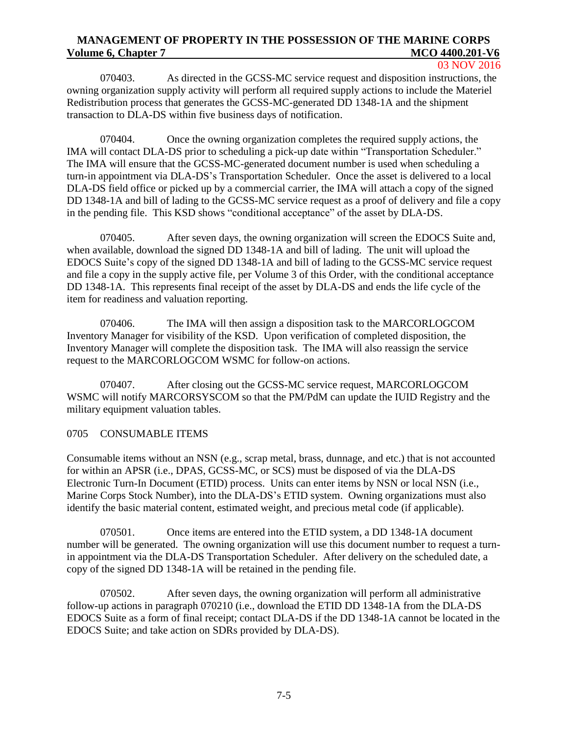03 NOV 2016

070403. As directed in the GCSS-MC service request and disposition instructions, the owning organization supply activity will perform all required supply actions to include the Materiel Redistribution process that generates the GCSS-MC-generated DD 1348-1A and the shipment transaction to DLA-DS within five business days of notification.

070404. Once the owning organization completes the required supply actions, the IMA will contact DLA-DS prior to scheduling a pick-up date within "Transportation Scheduler." The IMA will ensure that the GCSS-MC-generated document number is used when scheduling a turn-in appointment via DLA-DS's Transportation Scheduler. Once the asset is delivered to a local DLA-DS field office or picked up by a commercial carrier, the IMA will attach a copy of the signed DD 1348-1A and bill of lading to the GCSS-MC service request as a proof of delivery and file a copy in the pending file. This KSD shows "conditional acceptance" of the asset by DLA-DS.

070405. After seven days, the owning organization will screen the EDOCS Suite and, when available, download the signed DD 1348-1A and bill of lading. The unit will upload the EDOCS Suite's copy of the signed DD 1348-1A and bill of lading to the GCSS-MC service request and file a copy in the supply active file, per Volume 3 of this Order, with the conditional acceptance DD 1348-1A. This represents final receipt of the asset by DLA-DS and ends the life cycle of the item for readiness and valuation reporting.

070406. The IMA will then assign a disposition task to the MARCORLOGCOM Inventory Manager for visibility of the KSD. Upon verification of completed disposition, the Inventory Manager will complete the disposition task. The IMA will also reassign the service request to the MARCORLOGCOM WSMC for follow-on actions.

070407. After closing out the GCSS-MC service request, MARCORLOGCOM WSMC will notify MARCORSYSCOM so that the PM/PdM can update the IUID Registry and the military equipment valuation tables.

### 0705 CONSUMABLE ITEMS

Consumable items without an NSN (e.g., scrap metal, brass, dunnage, and etc.) that is not accounted for within an APSR (i.e., DPAS, GCSS-MC, or SCS) must be disposed of via the DLA-DS Electronic Turn-In Document (ETID) process. Units can enter items by NSN or local NSN (i.e., Marine Corps Stock Number), into the DLA-DS's ETID system. Owning organizations must also identify the basic material content, estimated weight, and precious metal code (if applicable).

070501. Once items are entered into the ETID system, a DD 1348-1A document number will be generated. The owning organization will use this document number to request a turnin appointment via the DLA-DS Transportation Scheduler. After delivery on the scheduled date, a copy of the signed DD 1348-1A will be retained in the pending file.

070502. After seven days, the owning organization will perform all administrative follow-up actions in paragraph 070210 (i.e., download the ETID DD 1348-1A from the DLA-DS EDOCS Suite as a form of final receipt; contact DLA-DS if the DD 1348-1A cannot be located in the EDOCS Suite; and take action on SDRs provided by DLA-DS).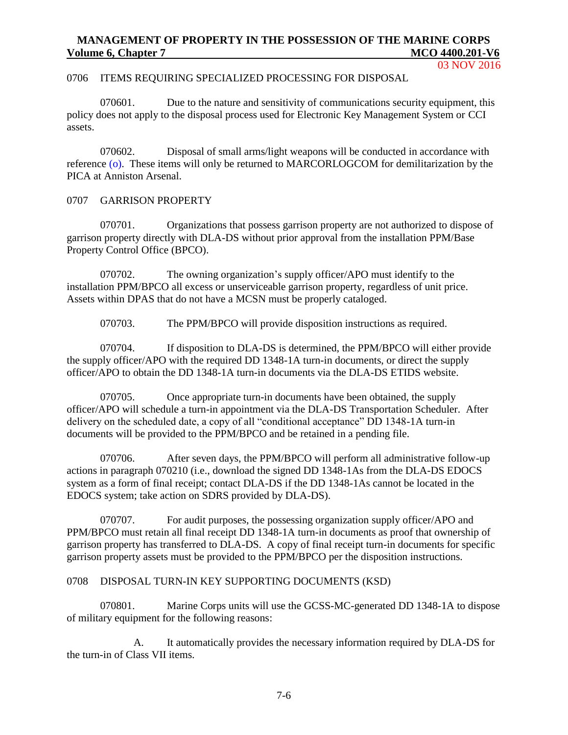03 NOV 2016

# 0706 ITEMS REQUIRING SPECIALIZED PROCESSING FOR DISPOSAL

070601. Due to the nature and sensitivity of communications security equipment, this policy does not apply to the disposal process used for Electronic Key Management System or CCI assets.

070602. Disposal of small arms/light weapons will be conducted in accordance with reference [\(o\).](#page-5-14) These items will only be returned to MARCORLOGCOM for demilitarization by the PICA at Anniston Arsenal.

# 0707 GARRISON PROPERTY

070701. Organizations that possess garrison property are not authorized to dispose of garrison property directly with DLA-DS without prior approval from the installation PPM/Base Property Control Office (BPCO).

070702. The owning organization's supply officer/APO must identify to the installation PPM/BPCO all excess or unserviceable garrison property, regardless of unit price. Assets within DPAS that do not have a MCSN must be properly cataloged.

070703. The PPM/BPCO will provide disposition instructions as required.

070704. If disposition to DLA-DS is determined, the PPM/BPCO will either provide the supply officer/APO with the required DD 1348-1A turn-in documents, or direct the supply officer/APO to obtain the DD 1348-1A turn-in documents via the DLA-DS ETIDS website.

070705. Once appropriate turn-in documents have been obtained, the supply officer/APO will schedule a turn-in appointment via the DLA-DS Transportation Scheduler. After delivery on the scheduled date, a copy of all "conditional acceptance" DD 1348-1A turn-in documents will be provided to the PPM/BPCO and be retained in a pending file.

070706. After seven days, the PPM/BPCO will perform all administrative follow-up actions in paragraph 070210 (i.e., download the signed DD 1348-1As from the DLA-DS EDOCS system as a form of final receipt; contact DLA-DS if the DD 1348-1As cannot be located in the EDOCS system; take action on SDRS provided by DLA-DS).

070707. For audit purposes, the possessing organization supply officer/APO and PPM/BPCO must retain all final receipt DD 1348-1A turn-in documents as proof that ownership of garrison property has transferred to DLA-DS. A copy of final receipt turn-in documents for specific garrison property assets must be provided to the PPM/BPCO per the disposition instructions.

# 0708 DISPOSAL TURN-IN KEY SUPPORTING DOCUMENTS (KSD)

070801. Marine Corps units will use the GCSS-MC-generated DD 1348-1A to dispose of military equipment for the following reasons:

A. It automatically provides the necessary information required by DLA-DS for the turn-in of Class VII items.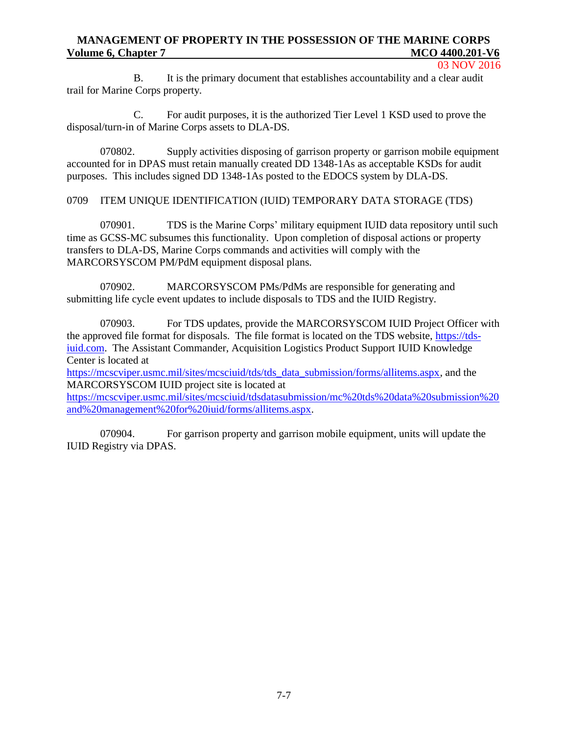#### 03 NOV 2016

B. It is the primary document that establishes accountability and a clear audit trail for Marine Corps property.

C. For audit purposes, it is the authorized Tier Level 1 KSD used to prove the disposal/turn-in of Marine Corps assets to DLA-DS.

070802. Supply activities disposing of garrison property or garrison mobile equipment accounted for in DPAS must retain manually created DD 1348-1As as acceptable KSDs for audit purposes. This includes signed DD 1348-1As posted to the EDOCS system by DLA-DS.

0709 ITEM UNIQUE IDENTIFICATION (IUID) TEMPORARY DATA STORAGE (TDS)

070901. TDS is the Marine Corps' military equipment IUID data repository until such time as GCSS-MC subsumes this functionality. Upon completion of disposal actions or property transfers to DLA-DS, Marine Corps commands and activities will comply with the MARCORSYSCOM PM/PdM equipment disposal plans.

070902. MARCORSYSCOM PMs/PdMs are responsible for generating and submitting life cycle event updates to include disposals to TDS and the IUID Registry.

070903. For TDS updates, provide the MARCORSYSCOM IUID Project Officer with the approved file format for disposals. The file format is located on the TDS website, [https://tds](https://tds-iuid.com/)[iuid.com.](https://tds-iuid.com/) The Assistant Commander, Acquisition Logistics Product Support IUID Knowledge Center is located at

[https://mcscviper.usmc.mil/sites/mcsciuid/tds/tds\\_data\\_submission/forms/allitems.aspx,](https://mcscviper.usmc.mil/SITES/MCSCIUID/TDS/TDS_DATA_SUBMISSION/FORMS/ALLITEMS.ASPX) and the MARCORSYSCOM IUID project site is located at

[https://mcscviper.usmc.mil/sites/mcsciuid/tdsdatasubmission/mc%20tds%20data%20submission%20](https://mcscviper.usmc.mil/sites/mcsciuid/tdsdatasubmission/mc%20tds%20data%20submission%20and%20management%20for%20iuid/forms/allitems.aspx) [and%20management%20for%20iuid/forms/allitems.aspx.](https://mcscviper.usmc.mil/sites/mcsciuid/tdsdatasubmission/mc%20tds%20data%20submission%20and%20management%20for%20iuid/forms/allitems.aspx)

070904. For garrison property and garrison mobile equipment, units will update the IUID Registry via DPAS.